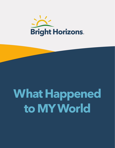

# **What Happened to MY World**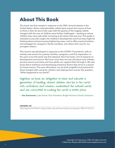## **About This Book**

This book was first created in response to the 2001 terrorist attacks in the United States. Quite understandably, adults were scared and unsure of how to think or feel, let alone fully cope with the gravity of the tragedy. Adults charged with the care of children were further challenged — wanting to assure children they were safe while not being at all certain that was true. This guide is intended to provide insight into children's development and how they might be thinking about and processing frightening news, and to offer practical wisdom and strategies for caregivers, family members, and others who care for our youngest citizens.

This version was developed in response to the COVID-19 pandemic, with an entirely new section for parents, families, caregivers, and first responders. In the years since this book was first released, there has been a lot of research on development and trauma. We know more than we ever did about how children process trauma and stress and how adults can support them through it. We also know about resilience and developing protective factors that serve as a barrier for future trauma. This new information can be both insightful and practical for those charged with caring for children and helping them answer the question, "What happened to my world?"

Together, we have an obligation to raise and educate a generation of healthy, vibrant children who live in the world with confidence and wisdom, understand the natural world, and are committed to making the world a better place.

— **Jim Greenman**, Late Senior Vice President, Bright Horizons Family Solutions

GREENMAN, JIM

"What Happened to MY World?: Helping Children Cope with Natural Disaster and Catastrophe" ISBN 0-9774352-0-2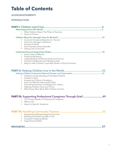## **Table of Contents**

#### ACKNOWLEDGMENTS

INTRODUCTION

| Mhat Children Need: The Pillars of Security<br>Types of Trauma<br>▶                                                                                                                                                                                                                                        |    |
|------------------------------------------------------------------------------------------------------------------------------------------------------------------------------------------------------------------------------------------------------------------------------------------------------------|----|
| <b>Common Emotional Reactions to Trauma</b><br>Common Changes in Behavior<br>▶<br><b>Emotional Shock</b><br>Þ.<br>Post-Traumatic Stress Disorder<br>ъ.<br>Taking Care of Yourself                                                                                                                          |    |
| Every Child Is Different<br>▶<br><b>Fostering Resiliency</b><br>×<br>Understanding Childhood Stress and Trauma<br>$\blacktriangleright$<br>Children's Responses and Needs by Age<br>▶<br>Ways to Help Children Cope With Stress: A Quick Summary                                                           |    |
| > Children's Understanding of the Natural World<br>Children's Fears<br><b>Answering Children's Questions</b><br>Þ.<br>How Can We Feel Safe and Be Safe?<br>Þ.<br>Promoting Tolerance and Respect for Others<br>▶<br>Helping Children Grow and Thrive<br>▶<br>What Those Who Work With Children Can Do<br>▶ |    |
| PART III: Supporting Professional Caregivers Through Grief49<br>The Unique Needs of Professional Caregivers<br>▶<br>What to Do<br>▶<br>Ideas for Specific Situations<br>▶                                                                                                                                  |    |
| Assessing and Responding During Crisis<br><b>Building and Restoring After Crisis</b><br>▶<br><b>Caring for Ongoing Needs</b><br>▶○<br><b>Supporting Children</b>                                                                                                                                           | 53 |
|                                                                                                                                                                                                                                                                                                            | 57 |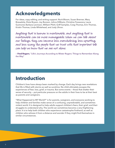## **Acknowledgments**

For ideas, copy editing, and writing support: Nurit Bloom, Susan Brenner, Mary Bresadola, Dixie Bryson, Joy Bunson, Johna DiMuzio, Christine Fossaceca, Laura Guimond, Barbara Levinson, William Pfohl, Griff Samples, Craig Thomas, Erin Thomas, Kristin Thomas, Linda Whitehead, and Judy Uhron.

Anything that is human is mentionable, and anything that is mentionable can be more manageable. When we can talk about our feelings, they can become less overwhelming, less upsetting, and less scary. The people that we trust with that important talk can help us know that we are not alone.

— **Fred Rogers**, "Life's Journeys According to Mister Rogers: Things to Remember Along the Way"

## **Introduction**

Children's lives have always been marked by change. Each day brings new revelations that life is filled with storms as well as sunshine. No child ultimately escapes the experiences of fear, loss, grief, or trauma. But some events — those that shatter their sense of security — put particular pressure on the adults in their lives to be at their best as parents and caregivers.

"What Happened to MY World?" is for parents, caregivers, and everyone working to help children and families make sense of a confusing, unpredictable, and sometimes violent world. It is designed to help adults support children's fears, their grief, and their struggles to understand why. The world can sometimes become a very frightening place. It is to help both children who experience castastrophe firsthand, as well as children who witness it from a distance and wonder if they might find themselves in similar circumstances.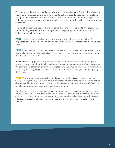Children struggle every day and everywhere with life's darker side. The insights offered in this volume (understanding children's thoughts, behaviors, and needs during crisis) apply to any calamity, whether personal or social, such as the death of a loved one, exposure to violence or homelessness, or even the sudden loss of a parent due to foster care, divorce, or separation.

Fear, grief, anxiety, and despair have the same disabling force, no matter the cause. The understanding, compassion, and thoughtfulness required by the adults who care for children are much the same.

**PART I** explores the four pillars of security, various types of traumas and children's responses, special considerations, and an age-by-age guide on what to expect and how to help.

**PART II** looks at how children can begin to understand both the world of nature at its most powerful and some difficult aspects of human society exposed when disaster erupts: death, poverty, and racial tension.

**PART III** offers suggestions for building a strong team before a crisis and helping staff respond during crisis. Emotionally healthy staff are at the heart of strong, effective programs. We can't expect caregivers and others to create a warm, nurturing environment for children when they are struggling with powerful emotions. They simply can't give something they don't have.

**PART IV** provides strategic ideas for handling a community disaster or crisis. In recent years, centers, schools, and clinics have experienced community traumas, including natural disasters and lockdowns due to violent acts. In this section are listed tips (the ABCs of crisis) to help you prepare and cope with a community trauma.

The Resources section includes resources for parents and professionals to explore more deeply all the topics introduced in this book. There are websites and books for adults and children on coping with stress, understanding the natural world and coping with disasters, addressing questions about poverty and race, and developing plans for survival and recovery.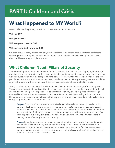## **PART I: Children and Crisis**

## **What Happened to MY World?**

After a calamity, the primary questions children wonder about include:

**Will I be OK?** 

**Will you be OK?** 

**Will everyone I love be OK?** 

#### **Will the world that I know be OK?**

Children may ask many other questions, but beneath those questions are usually these basic fears. Focusing on answering these questions (to the best of our ability) and establishing the four pillars described below is a good place to start.

## **What Children Need: Pillars of Security**

There is nothing more basic than the need to feel secure: to feel that you are all right, right here, right now. We feel secure when the world is safe, predictable, and manageable. We know we can fit into that world as ourselves and will be accepted by the people we encounter. We can relax when we are with people we trust, know what to expect, or have confidence that our life experience gives us the skills to cope with whatever will come our way. This is the exact opposite of how we feel in a crisis.

Young children are perpetual tourists without much life experience, truly strangers in a strange land. They are developing their minds and bodies at such a rate that they are literally new people with each sunrise. Their backlog of life experience is so slight that each day, brings surprises. Their courage rises and falls like the tides. As we grow up and experience more of the world, good and bad, our life experience gives us more of a base, but we depend on four pillars of security to help us face life's struggles: people, places, routines, and rituals.

**People:** For most of us, the most insecure feeling of all is feeling alone – no hand to hold, no one to look up to, no one to warn us, and no arms to catch us when we stumble. Security comes from familiar and trusted loved ones who know and understand us and whom we know and understand. But if those people are just not themselves and behaving unpredictably (as often happens in a crisis), or worse, if we have no one and are surrounded by strangers, a calming sense of security is hard to come by.

**Places:** In our homes, we can relax. We take comfort in the familiar order, the sounds, sights, and smells. We know our way around and how things work. There are few surprises. Our treasured things are there to reassure us, as are our memories. An unfamiliar place makes demands on our awareness — we need to be alert. In our places, we have the freedom to find or create sanctuaries and places to pause.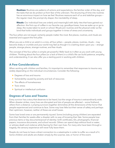**Routines:** Routines are patterns of actions and expectations, the familiar order of the day, and the tasks that we do protect us from fear of the unknown. The structuring of time into routines has an enormous impact on how we feel. Routines reassure each of us and stabilize groups the regular meal, the prompt dry diaper, the inevitability of sleep.

**Rituals:** Our individual lives are orderly and meaningful with daily rites that have gained our affection: the first cup of coffee in our favorite cup, goodbye kisses, how we wake up or go to sleep, the routes taken to work or school. Rituals join routines and the physical order as the bind that holds individuals and groups together in times of stress and uncertainty.

The four pillars are not equal; certainly people matter the most. But places, routines, and rituals are essential and support the first pillar.

When you are a child or an adult in a crisis, all four pillars – people, places, routines, rituals – may become shaky or crumble and your world may feel as though it is crashing down upon you — strange people, strange places, strange routines, and few rituals.

The concept of the four pillars is simple yet powerful. Refer back to it often as you work with young children. Thinking about the four pillars (or a lack of them) in a child's life can build patience, empathy, and understanding. It can also offer you a starting point in working with children.

## **A Few Considerations**

When working with children and families, it's important to remember that responses to trauma vary widely depending on the individual circumstances. Consider the following:

- $\triangleright$  Degrees of loss and trauma
- $\triangleright$  Vulnerability caused by poverty and lack of resources
- $\blacktriangleright$  The effects of homelessness
- $\blacktriangleright$  Toxic stress
- $\triangleright$  Spiritual or intellectual confusion

## **Degrees of Loss and Trauma**

Every survivor has a story that deserves to be heard, but the range of trauma is extraordinarily wide. When disaster strikes, many lives are disrupted and lots of people are affected – some firsthand, others from a distance. Lumping survivors together diminishes all the dimensions of the horror that people experienced and continue to face. Some may lose little but their sense of safety and perhaps their optimism; however, neither of these are small losses.

Some lose loved ones or are permanently injured. Some (including young children) are separated from their families for weeks after a disaster with no way of knowing their fate. Some people lose precious items or key documents/proof of identity: birth certificates, IDs, photographs, financial papers, insurance documents, and school records. Others can spend days without food or water, or witness death and violence while fearing for their own lives. For many who have been through a tragedy, the sensory experience will never fully leave them.

People do not have to have a direct connection to a catastrophe in order to suffer as a result of it. Some children and adults are shaken simply by the surprise, size, or horror of the event.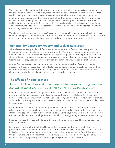We all feel and behave differently in response to trauma; the timing and intensity of our feelings and the behavioral changes that follow vary from person to person. Some take it all in a great rush that results in an open wound of emotion; others compartmentalize or push down feelings and try to manage or hide the response. The stress in each of our lives varies widely, as do the supports that we have to offset the large and small challenges to our well-being. But somewhere inside, we all feel frightened and vulnerable. A disaster in which a loved one dies or homes are lost is a different category of trauma altogether. The disaster is not simply a traumatic event; it becomes an ongoing, debilitating, and traumatic existence.

With time, care, healing, and sometimes treatment, the impact of the trauma typically subsides, but some develop post-traumatic stress disorder (PTSD). The development of PTSD is not predictable and may occur in someone who witnessed an event and not in someone who lived through it.

## **Vulnerability Caused By Poverty and Lack of Resources**

When disaster strikes, people with few financial resources tend to fare worse in nearly all cases. In a natural disaster, their shelter is more precarious, their "rainy day" resources nonexistent, and their ability to evacuate the scene hampered by no place to go and no way to get there. In an act of violence, health insurance coverage may be sparse and deductibles may be beyond their means. Getting the care they need to heal from physical and emotional wounds can be challenging.

Further, families living in financial hardship are often experiencing other life stressors like food insecurity or frequent moves due to affordable housing challenges. Some adults can shelter their children from these hardships, but most often children experience some level of stress in these circumstances, whether it is directly or indirectly via the adults' stress levels.

## **The Effects of Homelessness**

## The ache for home lives in all of us, the safe place where we can go as we are and not be questioned. - Maya Angelou, "All God's Children Need Traveling Shoes"

Imagine what it is like to be a young child without a home, with only the clothes on your back and a sack of stuff that makes up your worldly possessions. If you were a child entering the world of homeless shelters, you would think, "What happened to my world?" This scary new world is cramped and clouded by anxiety, uncertainty, and stress. At a shelter, it can be hard to find space to play, things to do, and quiet corners.

Bright moments are often hard to come by. Shelter life can be sad or scary, boring or chaotic. The adults around you are trying hard to protect you but are often sad or depressed, angry or worried struggling to cope in an often overwhelming situation. Some days, if you are a kid, it can be hard not to get into trouble, because after all, you are a kid with lots of energy trying to make it through the day.

Imagine if you are that young child's parent, trying to be a good parent and hold on to hope in a difficult situation.

Losing your home is a horrible thing. No matter how meager your home, no matter how few possessions, losing them is an emotional shock. Home is where we can be ourselves, in all our quirky individuality. You can open the refrigerator and get a drink, turn on or shut off the lights, sift through the photographs and mementos that chronicle your past. You can be silly, or noisy, or crabby. Home is where you have family, pets, plants, closets, toys, and your own blanket and bed.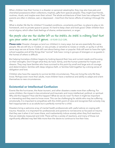When children lose their homes in a disaster or personal catastrophe, they may also lose pets and cherished possessions (their collections, trophies, gifts from special people). They might lose friends, routines, rituals, and maybe even their school. The whole architecture of their lives has collapsed. Their parents are often in distress, sad, or depressed — tired from the heroic efforts of making it through the day.

What is shelter life like for children? Crowded conditions, uncertainty and fear, no place to play or do homework, and no private space to pause. It's hard to keep clean and look good. Older children face social stigma, which often fuels feelings of shame, embarrassment, or anger.

## The people who ran the shelter left us the MREs. An MRE is military food that you pour water on and it grows. —8-YEAR-OLD GIRL

**Please note:** Disaster changes us (and our children) in many ways, but we are essentially the same people. We are still shy or modest, or very private, or sensitive to noises or smells, or quirky in all the same ways we are at home. Kids still care about being clean or popular. Kids still want to have the right school supplies and all the things that "normal" kids have. Living in groups of strangers or as guests in the homes of others is difficult.

But helping homeless children begins by looking beyond their loss and current needs and focusing on their strengths. Don't forget what they do have: family, and the human potential for hopes and dreams. They may have families who have survived to this point by small and large acts of courage and determination, families with deep religious faith, or families held together by a strong sense of obligation and love.

Children also have the capacity to survive terrible circumstances. They are living the only life they know. Perhaps even more than adults, most children have a resilience and ability to adapt and orient themselves to new circumstances.

## **Existential or Intellectual Confusion**

Events like the hurricanes, the Asian tsunami, and other disasters create more than suffering. For some children, the impact is less emotional and traumatic and more intellectual, political, or spiritual. Why did this happen? How did this happen? What do we do now? To them it might be important or interesting and they want to know more. This can be challenging for adults who may be suffering emotionally. It is important to empathize with the child's point of view and recognize that curiosity may feel inappropriate to us as adults but is perfectly normal for a child.

Disasters bring a welcome array of mental health professionals with useful advice on coping with trauma. However, it is important for professionals and parents to not become so focused on trauma that they see it when it isn't even there, and inadvertently induce anxiety when they find reactions that are relatively measured and mild. There will be a variety of reactions, and many of those not significantly affected may feel little more than the desire to continue to live their lives.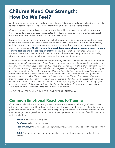## **Children Need Our Strength: How Do We Feel?**

Adults largely set the emotional landscape for children. Children depend on us to be strong and solid, to know what is happening, and to guide them through the shoals of troubled waters.

Once an unexpected tragedy occurs, feelings of vulnerability and insecurity remain for a very long time. The randomness of an event exacerbates these feelings. Despite the world getting statistically safer, it sometimes feels like disaster can strike at any moment.

Knowing how you feel and finding your way to higher ground is critical in order to help the children you love and care for. Even when they are babies, children see, hear, and feel our pain and despair, and they look to us for understanding, reassurance, and hope. They have a sixth sense that detects unease and uncertainty. **The first step in helping children cope with catastrophe is to sort through our own feelings and get the support that we need.** This cannot be overstated. Children need all the love, strength, and reassurance that we can muster. Their sense of safety stems from us, the big, strong adults who protect them from misfortunes that they never imagined.

The fires destroyed half the houses in the neighborhood, including the one next to ours, and our home was also damaged. It was pretty terrifying. Jasmine was 4 and she almost immediately seemed to lose a year of development. Always sensitive and cautious, she was now always afraid of everything: lightning, loud noises, us leaving. She wanted to be held, to sleep with us, to keep us home from work. But 8-yearold Ethan began to treat it as a big adventure. He threw himself into cleanup efforts, collected money for the now homeless families, and became a militant on fire safety — reading everything he could and lecturing us on safety. I have to give credit to my wife, Susan. She was first relieved, then angry, then relentlessly cheerful, optimistic, and tireless in helping the families who had lost much more than we had. Her patience with Jasmine (and with my worries) kept us going. It took Jasmine nearly a year to become her old self. I guess it took me a little longer. I found myself withdrawing because I got overwhelmed pretty easily with all the paperwork and rebuilding.

— A FATHER WHOSE FAMILY ENDURED THE WILDFIRES IN AUSTRALIA

## **Common Emotional Reactions to Trauma**

If you have suddenly lost a loved one, you are in a state of emotional shock and grief. You will have to grieve and then face a new life without that loved one. If you are homeless, you usually arrive at your place of shelter in emotional shock, exhausted, despairing, and disoriented. More important, you don't need to just get over a great loss and restore your spirit; you need to construct a life and home for you and your children.

**Shock:** How could this happen?

**Confusion:** What does it all mean?

**Fear or worry:** What will happen next; where, when, and to whom else will this happen? Will it end?

**Grief:** For someone I loved, or someone else like me, or the person I was, or the life I led before.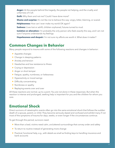**Anger:** At the people behind the tragedy, the people not helping, and the cruelty and unfairness of it all.

Guilt: Why them and not me? Could I have done more?

**Shame and surprise:** It's not like me to behave this way: angry, bitter, blaming, or scared.

**Helplessness:** How can I ever make my world OK again?

**Sadness:** Lives lost or adrift, children orphaned, futures turned to mud.

**Isolation or alienation:** I'm probably the only person who feels exactly this way, and I am not sure if anyone understands my feelings.

**Hopelessness and despair:** I'm not sure my efforts are worth it. What does it matter?

## **Common Changes in Behavior**

Many people respond to trauma with some of the following reactions and changes in behavior:

- $\blacktriangleright$  Appetite changes
- $\triangleright$  Change in sleeping patterns
- $\blacktriangleright$  Anxiety and tension
- $\blacktriangleright$  Headaches and low resistance to illness
- $\triangleright$  Crying or depression
- Anger or short temper
- $\blacktriangleright$  Fatigue, apathy, numbness, or listlessness
- $\blacktriangleright$  Hyperactivity or mood swings
- $\blacktriangleright$  Difficulty concentrating
- $\blacktriangleright$  Numbness or apathy
- $\blacktriangleright$  Replaying events over and over

All these reactions are normal, up to a point. You are not alone in these responses. But when the reaction is intense and prolonged, seeking help is important for you and the children for whom you care.

## **Emotional Shock**

Direct survivors of catastrophic events often go into the same emotional shock that follows the sudden death of a spouse, parent, or child. They become seriously dazed and confused and exhibit many if not most of the symptoms of trauma for days, weeks, or even longer if the circumstances continue.

To get through this period, survivors need:

- $\triangleright$  More than a bed; victims need calm, uncluttered surroundings that convey order and safety
- $\blacktriangleright$  To return to routine instead of generating more change
- $\triangleright$  Practical, functional help, e.g., with details as small as finding keys to handling insurance and bank accounts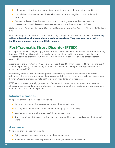- $\blacktriangleright$  Help mentally digesting new information what they need to do, where they need to be
- $\blacktriangleright$  The stability and reassurance of the familiar faces of friends, neighbors, store clerks, and librarians
- $\triangleright$  To avoid replays of their disaster, or any other disturbing events, as they can reawaken impressions of the all-toorecent catastrophe and rekindle their emotional distress

(Adapted from "Emotional Recovery After Natural Disasters: How to Get Back to a Normal Life" by Ilana Singer)

Note: The plight of families forced into shelter living is magnified because most of what they **actually will experience bears little resemblance to the advice above. They may have just a bed, no familiar faces, strange routines, and little support.** 

## **Post-Traumatic Stress Disorder (PTSD)**

It is important to avoid diagnosing yourself or others and to avoid the tendency to interpret temporary trauma as PTSD, but it is useful to be mindful of the condition and the symptoms. If you have any concerns, consult a professional. Of course, if you have urgent concerns about a person's safety, contact 911.

According to the Mayo Clinic, "PTSD is a mental health condition that's triggered by a terrifying event — either experiencing it or witnessing it." However, not everyone who goes through these types of events develops PTSD.

Importantly, there is no shame in being deeply impacted by trauma. From service members to refugees to domestic abuse survivors, being profoundly impacted by trauma is a circumstance shared by many. Getting professional help right away is an important part of recovery.

PTSD symptoms are generally grouped into four types: intrusive memories, avoidance, negative changes in thinking and mood, and changes in physical and emotional reactions. Symptoms can vary over time and from person to person.

## **Intrusive memories**

Symptoms of intrusive memories may include:

- $\blacktriangleright$  Recurrent, unwanted distressing memories of the traumatic event
- Reliving the traumatic event as if it were happening again (flashbacks)
- $\blacktriangleright$  Upsetting dreams or nightmares about the traumatic event
- $\triangleright$  Severe emotional distress or physical reactions to something that reminds you of the traumatic event

### **Avoidance**

Symptoms of avoidance may include:

- $\triangleright$  Trying to avoid thinking or talking about the traumatic event
- $\triangleright$  Avoiding places, activities, or people that remind you of the traumatic event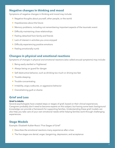## **Negative changes in thinking and mood**

Symptoms of negative changes in thinking and mood may include:

- $\blacktriangleright$  Negative thoughts about yourself, other people, or the world
- $\blacktriangleright$  Hopelessness about the future
- $\blacktriangleright$  Memory problems, including not remembering important aspects of the traumatic event
- $\triangleright$  Difficulty maintaining close relationships
- $\blacktriangleright$  Feeling detached from family and friends
- $\blacktriangleright$  Lack of interest in activities you once enjoyed
- $\triangleright$  Difficulty experiencing positive emotions
- $\blacktriangleright$  Feeling emotionally numb

### **Changes in physical and emotional reactions**

Symptoms of changes in physical and emotional reactions (also called arousal symptoms) may include:

- $\blacktriangleright$  Being easily startled or frightened
- $\blacktriangleright$  Always being on guard for danger
- $\triangleright$  Self-destructive behavior, such as drinking too much or driving too fast
- $\blacktriangleright$  Trouble sleeping
- $\blacktriangleright$  Trouble concentrating
- $\blacktriangleright$  Irritability, angry outbursts, or aggressive behavior
- $\triangleright$  Overwhelming quilt or shame

## **Grief and Loss**

#### **Grief in Adults**

Several psychologists have created steps or stages of grief, based on their clinical experiences. Caregivers probably don't need to become experts on this subject, but having some basic background knowledge can provide a framework for supporting families. Understanding these grief models can also help you take care of your own emotional needs while helping families work through challenging experiences.

## **Stage Models**

Example: Elizabeth Kubler-Ross's "Five Stages of Grief"

- $\triangleright$  Describes the emotional reactions many experience after a loss
- $\blacktriangleright$  The five stages are denial, anger, bargaining, depression, and acceptance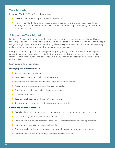## **Task Models**

Example: Worden's "Four Tasks of Mourning"

- $\triangleright$  Describes the process of grieving/work to be done
- $\triangleright$  Typically include the following concepts: accept the reality of the loss; experience the pain of grief; adjust to an environment in which the loved one or object is missing; and withdraw emotional energy

## **A Proactive Task Model**

Dr. Sharon B. Katz's task model is particularly useful because it gives some sense of control back to those experiencing loss while offering simple, actionable steps for working through grief. Most people will go through these steps after a loss, although how they go through them and what decisions they make are entirely personal and vary from one person to the next.

Being aware of the steps can help caregivers support grieving parents. For example, a caregiver can understand why a grieving parent might withdraw, seem distracted, or even seem rude. Staff members are better equipped to offer support, e.g., by listening or encouraging parents to take care of themselves.

Katz's task model steps include:

#### **Managing the Pain: What to Do**

- $\blacktriangleright$  Set realistic time expectations.
- $\blacktriangleright$  Have realistic mood and behavior expectations.
- $\blacktriangleright$  Reestablish and maintain healthy diet, sleep, and exercise habits.
- $\triangleright$  Accept and allow crying and other forms of pain relief.
- $\triangleright$  Consider medication for anxiety, sleep, or depression.
- $\blacktriangleright$  Take comfort in music.
- $\blacktriangleright$  Read books about grief or those that offer comfort.
- $\triangleright$  Set appropriate boundaries for being around other people.

#### **Continuing Bonds: What to Do**

- $\triangleright$  Establish rituals of remembrance (visiting a gravesite, commemorating special days, etc.).
- $\blacktriangleright$  Plan comforting memorials or remembrances.
- $\triangleright$  Deal with the loved one's personal effects in a way that feels respectful and appropriate.
- $\triangleright$  Consider and reconcile one's spiritual beliefs.
- $\triangleright$  Continue a relationship with the loved one through prayer, thoughts, or other means.
- $\triangleright$  Determine how to handle birthdays, holidays, anniversaries, etc.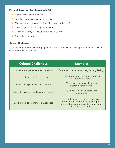#### **Personal Reconstruction: Questions to Ask**

- $\triangleright$  What does this mean in my life?
- $\blacktriangleright$  How do I figure out what my life will be?
- $\blacktriangleright$  Who am I now in the context of what has happened to me?
- How will I go on? What is my purpose now?
- Mhere do I put my old life? Is my old life truly over?
- $\triangleright$  Where do I fit in now?

#### **Cultural Challenges**

Additionally, as adults work through grief, they may experience the challenges of unhelpful societal or cultural experiences, such as:

| <b>Cultural Challenges</b>                 | <b>Examples</b>                                                                                                                                                      |
|--------------------------------------------|----------------------------------------------------------------------------------------------------------------------------------------------------------------------|
| Unrealistic expectations for behavior      | One should act a certain way while grieving.                                                                                                                         |
| Unrealistic expectations for time          | One should "be over" grieving within<br>a certain time frame.                                                                                                        |
| Unrealistic expectations for outcome       | One should look for closure at<br>a certain point in time.                                                                                                           |
| Potentially insensitive advice or comments | "God never gives us more than<br>we can bear."                                                                                                                       |
| Unacknowledged or marginalized loss        | Less visible losses might include divorce,<br>infertility, a miscarriage, or the diagnosis<br>of a child with a physical, developmental,<br>or emotional disability. |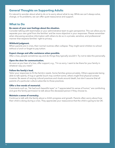## **General Thoughts on Supporting Adults**

It's natural to wonder about what to do or to worry about what to say. While we can't always solve, change, or fix problems, we can offer quiet reassurance and support.

### **What to Do**

#### **Be aware of your own feelings about the situation.**

Consider talking with teammates or your administrative team to gain perspective. This can allow you to separate your own grief from the families' and be more objective in your responses. Please remember when discussing sensitive information with others to do so in a private, sensitive, and professional manner that respects families' right to privacy.

#### **Withhold judgment.**

When parents are in crisis, their normal routines often collapse. They might send children to school without a lunch or forget to pay tuition.

#### **Expect change and offer assistance when possible.**

After a loss, people sometimes say and do things they typically wouldn't. Try not to take this personally.

#### **Open the door for communication.**

As soon as you hear of a loss, offer support, e.g., "I'm so sorry. I want to be there for your family in whatever way you need."

#### **Follow the family's lead.**

Tailor your responses to fit the family's needs. Some families grieve privately. Others appreciate being able to talk openly. A hug or gentle touch may comfort some; others might find physical contact invasive. Be aware of varying cultural practices and rituals around death, but don't assume that all parents of a particular culture subscribe to those practices.

#### **Offer a few words of memorial.**

Comments such as, "He had such beautiful eyes" or "I appreciated his sense of humor," are comforting and give the family permission to talk about the deceased person if they choose to.

#### **Maintain a sense of normalcy.**

Continue to talk with the family about a child's progress and growth. Parents often worry about how their child is doing during a crisis. They appreciate your reassurance that the child is going to be OK.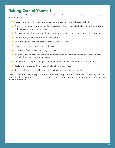## **Taking Care of Yourself**

To take care of children, you need to take care of yourself to the extent that you are able. Some ways to do this are to:

- $\triangleright$  Accept help from others offering assistance and support with daily responsibilities.
- $\triangleright$  Talk about your feelings, when ready, with adults with whom you feel safe, who will really listen without judgment or continual advice.
- $\blacktriangleright$  Try to create a daily routine and rituals that support your current needs and those of your family.
- $\blacktriangleright$  Eat right and get exercise and adequate sleep.
- $\triangleright$  Cry when you need to and seek solitude when you have to.
- $\triangleright$  Take breaks from the news and headlines.
- $\blacktriangleright$  Take breaks from others who bring you down.
- $\triangleright$  Be gentle with yourself and others and be tolerant of the less-than-ideal behavior of yourself, your children, and others under stress.
- $\triangleright$  Try to focus on the good things in your days and in your life, and find the seeds of hope.
- $\blacktriangleright$  Replenish your spirit with friends, faith, family, music, or nature.
- $\blacktriangleright$  Seek help if you feel that life is not becoming more manageable with time.

After a disaster and especially if one is left homeless, many of the above suggestions are very hard to do. Often, the most you can do is try your best to be as gentle and accepting of yourself and others as you are able to be.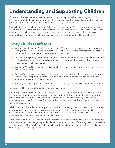## **Understanding and Supporting Children**

If you are a child watching the news, it never stops. If you happen to be 3 or 4 or 5 years old, still learning to navigate the confusing borders of time and space and what is real and what isn't, you are probably thinking that nature's devastation results in daily destruction.

Some children may also be wondering, "When will it happen to me?" This is the way many young children think when they see things around them. When a friend's sister dies of cancer, the television news reports a child in a fatal car accident, a cousin no longer lives with her dad, or the news relentlessly sensationalizes a child abduction, a child wonders, "When will it happen to me?"

## **Every Child Is Different**

- $\triangleright$  Mara, even at the age of 3, paid close attention to TV reports of any threat crime, hurricanes, earthquakes — and nightmares always followed. She worried over and intensely felt the loss of a pet, a friend moving away, and the sorrows of distant others.
- $\triangleright$  Six-year-old Alejandro, on the other hand, breezed through his childhood with only a brief pause for the real calamities that occurred around him in his impoverished neighborhood — never imagining it might happen to him.
- $\triangleright$  Kyle's (age 8) vivid imagination and his empathy for others left him seriously vulnerable when any tragedy crossed his path.
- $\triangleright$  Troy and Tyrel's 9-year-old responses to airplane crashes or devastating natural disasters were similar. While not appearing particularly upset, each needed precise answers on an infinite number of details about the destruction.
- And 15-year-olds Stephen and Carrie never let on that anything could shake their cool exteriors.

Children are different, both from adults and from each other.

But taking that seriously in practice is not always easy for parents and others who work with children. Children think very differently than adults, and at each stage of development they view the world through their own unique lenses. From birth, children have their own sensitivity to change, to unexpected events, and to distress. They respond to dramatic events and stress in their own ways and with differing intensity.

All children are vulnerable, but not equally. A child already grieving over a lost loved one (a person or a pet), a divorce, or a separation may be more vulnerable, as will children who have families in crisis or who are under stress for any number of reasons. Sensitive and empathetic children will also struggle more to come to terms with events that are disturbing.

All children, even babies, will feel the direct effects of a natural disaster or family crisis — the emotional upset in the air and the change in people, places, routines, and rituals. Life, as they have come to know it, is disrupted and they are thrown off center. Supporting children during times of uncertainty and stress begins with knowing the child.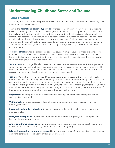## **Understanding Childhood Stress and Trauma**

## **Types of Stress**

According to research done and presented by the Harvard University Center on the Developing Child, there are three types of stress.

There is the **normal and positive type of stress** that accompanies everyday events like a doctor's office visit, meeting a new classmate or colleague, or an unexpected change in plans. It's also part of the package with positive events like a wedding or promotion. This stress is normal and good. This is most often accompanied by natural physical responses like a quickening heart rate. It's important to help children through these stressors, but not eliminate them. Children need the chance to develop healthy capabilities to manage these daily stressors. However, when someone is managing a lot of them at once or significant stress is occurring as well, these daily stressors can feel more overwhelming.

**Tolerable stress** is when a situation happens that causes more pronounced stress, like a moderate natural disaster or the loss of a loved one. It takes a more severe toll but is considered tolerable because it is buffered by supportive adults and otherwise healthy circumstances. The stress may be short or prolonged, but it is specific to the event.

**Toxic stress** is a prolonged level of stress and can have long-term consequences. This is experienced when a person suffers from things like ongoing abuse, homelessness, food insecurity, mental health issues, or an ongoing threat of or actual violence. This type of stress is persistent and is disruptive to physical and emotional development and can impact overall health.

**Trauma:** We use the words trauma and traumatic liberally, but in actuality they refer to physical or emotional events that are likely to cause damage. Trauma can happen in something specific like a car accident, the death of a loved one, or something that is pervasive or frequent like homelessness or abuse. The more grave the stress, the more likely trauma will occur. Distressingly, statistics tell us one in four children experiences some type of abuse or neglect, which most certainly leads to some level of trauma. Common signs of emotional distress or trauma in children are:

**Regression:** Reverting back to more childlike behaviors, e.g., an older child wetting the bed or sucking his or her thumb.

**Withdrawal:** A marked decrease in level of engagement in routine social situations, e.g., family dinners, play dates.

**Increased challenging behaviors:** A marked increase in challenging behaviors, e.g., tantrums, aggressive play.

**Delayed development:** Atypical development in one or more categories, e.g., language use or learning delays, memory issues.

**Anger or extreme emotions:** Seemingly unprovoked or inappropriately strong negative emotions that do not match the situation, e.g., emotional outbursts or fighting.

**Misreading emotions or intent of others:** Natural tendency to scan for the negative in overdrive, e.g., assuming others are talking about or "ganging up" on you.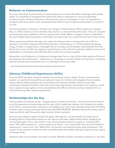## **Behavior as Communication**

You may notice that common stress or trauma behaviors are those that often challenge and frustrate adults. It is important to recognize that without the skills to understand or communicate deep emotional issues, children's behavior is their primary source of expression. In fact, it's important to recognize that many adults never developed these skills or have trouble accessing them in moments of crisis.

The best indicators of distress in children are changes in their behavior. When infants are stressed, they cry. When infants are more stressed, they tend to cry more and become fussier. They are using the resources they have available to them to express their needs. When a caregiver doesn't understand this and instead responds angrily or withholds care, they enter into a cycle that can lead to toxic stress.

When supporting children through crisis, watch for behavior that is not typical for the child: for example, a normally outgoing child behaving shyly or withdrawing, or a child suddenly becoming clingy, irritable, or anger-prone. A teenager who is normally cool and distant may withdraw from the family even more. A child may regress to past behavior, such as thumb-sucking or defiance, being very dependent, or not showing the self-help skills of which he or she is capable.

Remember, not all behaviors or behavioral changes stem from a crisis. All the other aspects of life and development are marching on — adjusting to a new grade or school, friends moving away or changing, parents worried about losing their job, or a teenager not having a date

— all create personal stress that may eclipse societal turmoil.

### **Adverse Childhood Experiences (ACEs)**

The term ACEs has been coined to identify circumstances (such as death, divorce, homelessness, neglect, or poverty) that would have an adverse impact on children and recognize the cumulative impact. Mental health professionals and pediatricians evaluate children's ACEs to more fully understand individual children's risks and recommend appropriate interventions. For instance, a child who is experiencing neglect is more susceptible to the effects of trauma during a disaster than is a child without any other adverse experiences.

## **Relationships Are the Key**

The four pillars mentioned earlier — people, places, routines, and rituals — are all important in times of crisis. But people and relationships are the most vital to health and healing. In all situations for adults and children, compassionate, responsive, and reliable care is the most essential component of healing. Children need to know someone will be there NO MATTER WHAT. Whether that person always says or does exactly the right thing at the right moment is less important.

Have you ever played a game of tag? The game, although fun, can be stressful, but feels less so knowing there's a home base where you can regroup and take a deep breath before charging out into the field again. This is very similar to how young children behave at a park or another public event. They often venture out — some quicker than others — but occasionally look over to the adult for reassurance. "Look at me!" and "Watch this!" are familiar cries heard by every adult companion. This need to know someone is there for them unconditionally never fades, although it becomes less urgent as they get older.

However, when trauma strikes, this need is intense. Whether children are able to express it or not, they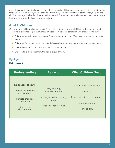need the consistent and reliable care of at least one adult. This means they can trust this adult to follow through on commitments, ensure their needs are met, and provide reliable compassion, helping the children manage the burden the trauma has caused. Sometimes this is all an adult can do, especially at first, and it's always the least an adult must do.

## **Grief in Children**

Children grieve differently than adults. They might not have the verbal skills to articulate their feelings or the life experience to put them into perspective. In general, caregivers will probably find that:

- $\triangleright$  Children's behavior often regresses. They may cry or be clingy. Their sleep and eating patterns change.
- $\triangleright$  Children differ in their responses to grief according to temperament, age, and development.
- $\triangleright$  Children hear more and see more than we think they do.
- $\triangleright$  Children take their cues from the adults around them.

## **By Age Birth to Age 2**

| <b>Behavior</b>                                                                                        | <b>What Children Need</b>                                                                                 |
|--------------------------------------------------------------------------------------------------------|-----------------------------------------------------------------------------------------------------------|
| May be clingy,<br>restless, or tearful<br>Changes in sleep, eating,<br>or play<br>Behavior regressions | A calm, consistent routine<br>Patience<br>Extra comfort and reassurance<br>Simple answers<br>Time to play |
|                                                                                                        |                                                                                                           |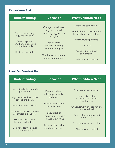### **Preschool: Ages 3 to 5**

| <b>Understanding</b>                                                                                                                 | <b>Behavior</b>                                                                                                                                                                                  | <b>What Children Need</b>                                                                                                                                                                          |
|--------------------------------------------------------------------------------------------------------------------------------------|--------------------------------------------------------------------------------------------------------------------------------------------------------------------------------------------------|----------------------------------------------------------------------------------------------------------------------------------------------------------------------------------------------------|
| Death is temporary,<br>e.g., "He's asleep."<br>Death happens<br>to "others" but not his<br>immediate circle.<br>Death is reversible. | Changes in behavior,<br>e.g., withdrawal,<br>irritability, aggression,<br>or clinginess<br>Bad dreams;<br>changes in eating,<br>sleeping, and play<br>Might make up pretend<br>games about death | Consistent, calm routines<br>Simple, honest answers/time<br>to talk about their feelings<br>Unstructured playtime<br>Patience<br>Participation in rituals<br>or memorials<br>Affection and comfort |

### **School Age: Ages 5 and Older**

| <b>Understanding</b>                                                                                                                                                                                                                                                             | <b>Behavior</b>                                                                                                                                                                                                | <b>What Children Need</b>                                                                                                                                                                                                                         |
|----------------------------------------------------------------------------------------------------------------------------------------------------------------------------------------------------------------------------------------------------------------------------------|----------------------------------------------------------------------------------------------------------------------------------------------------------------------------------------------------------------|---------------------------------------------------------------------------------------------------------------------------------------------------------------------------------------------------------------------------------------------------|
| Understands that death is<br>permanent<br>Might wonder if he or she<br>caused the death<br>Fears that others will die<br>Worries about how the loss<br>will affect his or her life<br>Wonders about what<br>happens to the body<br>Begins to form spiritual<br>ideas about death | Denials of death;<br>shifts in perspective<br>and mood<br>Nightmares or sleep<br>disturbances<br>Shows lack of<br>interest in previously<br>enjoyable activities<br>Repeatedly asks for<br>details about death | Calm, consistent routines<br>Honest discussions<br>and permission to share<br>their feelings<br>An adjustment of expectations<br>and workload<br>Participation in rituals and<br>memorials<br>Time for unstructured play<br>Affection and comfort |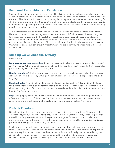## **Emotional Recognition and Regulation**

Some of the most important work — throughout life — is to understand and appropriately respond to or handle emotions. This is a lifelong pursuit, so imagine how challenging it is for someone in their first decades of life, let alone first years. Emotional regulation happens over time as we mature; it is easy for children to be overwhelmed by their emotions. Children have big feelings with limited ideas of how to handle them. A significant proportion of behavior that challenges adults is a result of children handling emotions in the only way they know how.

This is exacerbated during traumatic and stressful events. Even when there is a more minor change, like a new routine, children can regress and be more prone to difficult behavior. They are doing this to manage their emotions with the tools they have. Regardless of traumatic events, adults can best serve children by helping them learn about their own emotions and how to respond to them, as well as find perspective and build empathy. This skill set will prove invaluable when coping with typical or traumatic life stressors. It can prevent stress from causing too much trauma or can help a child heal from trauma.

## **Building Social-Emotional Literacy**

Ideas include:

**Building an emotional vocabulary:** Introduce new emotional words. Instead of saying "I am happy," say "I am joyful." Ask children about their emotions. If they say "I am mad," respond with, "It doesn't feel good to be angry or mad. How can I help you?"

**Naming emotions:** Whether making faces in the mirror, looking at characters in a book, or playing a silly game in a public place, try naming different emotions by looking at facial expressions and body language.

**Reading books:** Characters in books are an ideal way to study emotions. Talk about their feelings, the expressions they make, and what they should do about their feelings. Choose books that show a character coping with difficult emotions, such as, "Alexander and the Terrible, Horrible, No Good, Very Bad Day" or "Ira Sleeps Over."

**Play:** Through play, children naturally explore real-world phenomena. Working through emotions is a frequent aspect of play. Children can "try them on" and practice how to react. Adults can interject some role-playing or ask thoughtful, provoking questions to prompt children's thinking.

## **Difficult Emotions**

Difficult emotions like stress, worry, and anxiety are part of the human experience. These are useful emotions and, although uncomfortable, they aren't always bad. Sometimes they alert us to potentially unhealthy or dangerous situations, or they pressure us to grow. Contrary to popular belief, stress is not always to be avoided. Stress comes with change, even good change like new babies, marriages, promotions, buying a house, vacations, and more.

Similarly, worry and anxiety are emotions that are purposeful. They help us respond appropriately to stimuli. The problem is when we can't shut these emotions off, don't have the capacity to respond to them in a way that reduces or resolves them, or respond more profoundly than is needed in a given situation. For children, much of this can be remedied through the patient support of caregivers. However, it is always a good idea to seek professional help with any concerns or questions.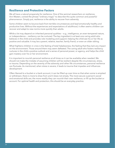### **Resilience and Protective Factors**

We all have a natural propensity for resilience. One of the seminal researchers on resilience, Ann Masten, coined the phrase "ordinary magic" to describe this quite common and powerful phenomenon. Simply put, resilience is the ability to recover from adversity.

Some children seem to bounce back from terrible circumstances and lead emotionally healthy and productive lives. Without the experiences and expectations of adulthood, it often seems children can recover and adapt to new norms more quickly than adults.

While a lot may depend on inherited personal qualities — e.g., intelligence, an even-tempered nature, or independence — resiliency can be nurtured. The key ingredient is at least one caring adult who believes in the child and provides role modeling and support, helping the child see his or her life as positive and valuable. It may be a parent, relative, teacher, family friend, or even an older sibling.

What frightens children in crisis is the feeling of total helplessness, the feeling that they lack any impact on the environment. Those around them may seem defeated. The caring adult who fosters resiliency nurtures in the child a positive outlook and a sense of personal power, or agency, and helps the child gain mastery over his or her environment.

It is important to nourish personal resilience at all times so it can be available when needed. We should not make the mistake of assuming children will be resilient despite life circumstances, stress, or trauma. Depending on the severity of the adversity and other life circumstances, personal resilience can fluctuate. As mentioned, when stress is severe, it leads to trauma that impedes and influences development.

Often likened to a bucket or a bank account, it can be filled up over time so that when some is emptied or withdrawn, there is more to draw from and it does not empty. The more secure a person's social and emotional skills are, the more readily they can nourish their own resilience, or fill up the bucket or account. For optimal health and protection, this should be an everyday practice.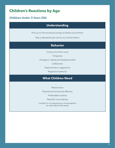## **Children's Reactions by Age**

## **Children Under 3 Years Old**

**3-to-5-Year-Olds** 

## **Understanding**

Pick up on the emotional energy of adults around them

May understand pain and try to comfort others

## **Behavior**

Crying more than usual

**Clinginess** 

Changes in eating and sleeping habits

Listlessness

Hyperactivity or aggression

Regressive behavior

## **What Children Need**

Reassurance

Physical and emotional affection

Predictable routines

Peaceful surroundings

Limited or no exposure to conversations or news about the event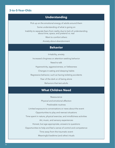## **3-to-5-Year-Olds**

## **Understanding**

Pick up on the emotional energy of adults around them

Some understanding of what is going on

Inability to separate fears from reality due to lack of understanding about time, space, and pretend vs. real

Want to comfort others

Anxiety about abandonment

## **Behavior**

Irritability, anxiety

Increased clinginess or attention-seeking behavior

Need to talk

Hyperactivity, aggressiveness, or listlessness

Changes in eating and sleeping habits

Regressive behavior, such as having toileting accidents

Fear of the dark or of being alone

Behaviors that test adults

## **What Children Need**

#### Reassurance

Physical and emotional affection Predictable routines Limited exposure to conversations or news about the event Opportunities to play and reenact situations Time spent in nature, physical exercise, and mindfulness activities Art, music, and sensory experiences Honest, but age-appropriate, answers to questions Opportunities to help and feel a sense of control and competence Time away from the traumatic event Meaningful bedtime (and other) rituals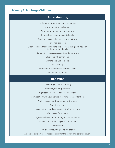### **Primary School-Age Children**

## **Understanding**

Understand what is real and permanent

Lack perspective and context

Want to understand and know more

Expect honest answers and details

Can think about what life is like for others

Have realistic fears

Often focus on their immediate circle — what things will happen to them or their family

Interested in rules, justice, and right and wrong

Black-and-white thinking

Want to see justice done

Want to help

Interested in examples of heroes/villains

Influenced by peers

### **Behavior**

Nail biting or thumb-sucking

Irritability, whining, clinging

Aggressive behavior at home or school

Competition with younger siblings for parental attention

Night terrors, nightmares, fear of the dark

Avoiding school

Loss of interest and poor concentration in school

Withdrawal from peers

Regressive behavior (reverting to past behaviors)

Headaches or other physical complaints

Depression

Fears about recurring or new disasters

A need to take on more responsibility for the family and care for others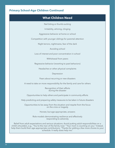## **Primary School-Age Children Continued**

## **What Children Need**

Nail biting or thumb-sucking

Irritability, whining, clinging

Aggressive behavior at home or school

Competition with younger siblings for parental attention

Night terrors, nightmares, fear of the dark

Avoiding school

Loss of interest and poor concentration in school

Withdrawal from peers

Regressive behavior (reverting to past behaviors)

Headaches or other physical complaints

Depression

Fears about recurring or new disasters

A need to take on more responsibility for the family and care for others

Recognition of their efforts during the disaster

Opportunities to help others and participate in community efforts

Help predicting and preparing safety measures to be taken in future disasters

Opportunities to be away from the situation and respite from the focus on the crisis or tragedy

Honest, but age-appropriate, answers

Role models demonstrating resilience and effectively responding to adversity

Relief from adult expectations and serious situations. Avoid putting adult responsibilities on a child's shoulders, e.g., "You're the man of the family now," "Your mom is counting on you." Instead, help them build their age-appropriate contributions. "Thanks for adding a few more chores to your schedule. It really does help me."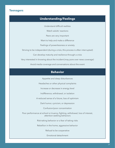#### **Teenagers**

## **Understanding/Feelings**

Understand difficult realities

Watch adults' reactions

Peers are very important

Want to help and make a difference

Feelings of powerlessness or anxiety

Striving to be independent (during a crisis, this process is often interrupted)

Can develop maturity and resilience through a crisis

Very interested in knowing about the incident (may pore over news coverage)

Avoid media coverage and conversations about the event

## **Behavior**

Appetite and sleep disturbances

Headaches or other physical complaints

Increase or decrease in energy level

Indifference, withdrawal, or isolation

A reduced sense of a future, loss of optimism

Dark humor, cynicism, or depression

Confusion/poor concentration

Poor performance at school or truancy, fighting, withdrawal, loss of interest, attention-seeking behaviors

Risk-taking behavior or a fear of taking risks

Rebellion in the home, aggressive behavior

Refusal to be cooperative

Emotional detachment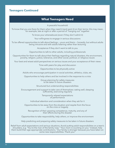## **Teenagers Continued**

## **What Teenagers Need**

A peaceful household

To know that you are there for them when they need it (and want it) on their terms; this may mean, for example, late at night or after a period of "hanging out" together

To know your whereabouts (even if they don't admit it)

Your willingness to engage in serious discussions

To be offered opportunities to talk about feelings — yours and theirs — honestly, but without adults being intrusive and with adults listening rather than lecturing

Acceptance if they don't want to talk to you

Opportunities to talk to other adults, including professionals

Opportunities for them to talk about their feelings regarding natural disasters, the environment, poverty, religion, justice, tolerance, and other social, political, or religious issues

Your best and wisest adult perspectives on serious issues and your acceptance of their views

Time with peers for play and discussion

Opportunities to be physically active

Adults who encourage participation in social activities, athletics, clubs, etc.

Opportunities to help others and be involved in the response to a crisis

Group planning for safety measures to be taken in future disasters

Structured but undemanding responsibilities

Encouragement and support to take care of themselves: eating well, sleeping sufficiently, exercising regularly

> Temporarily relaxed expectations of performance

Individual attention and consideration when they ask for it

Opportunities to be away from the situation and respite from the focus on the crisis or tragedy

Recognition of their growing competence, maturity, and any of their efforts during the disaster

Opportunities to take responsibility, help others, or improve the environment

Help predicting and preparing safety measures to be taken in future disasters

Relief from adult expectations and serious situations. Avoid putting adult responsibilities on a teen's shoulders, e.g. "You're the man of the family now," "Your mom is counting on you." Instead, help them build their age-appropriate contributions. "Our family is stronger because you have taken on some new responsibilities. Thank you."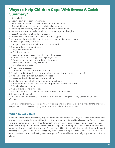## **Ways to Help Children Cope With Stress: A Quick Summary\***

- 1. Be available.
- 2. Listen, listen, and listen some more.
- 3. Be honest and answer children's questions at their level.
- 4. Respect differences in children individual and age based.
- 5. Encourage consistency, everyday routines, and favorite rituals.
- 6. Make the environment safe for talking about feelings and thoughts.
- 7. Expect and allow for all kinds of emotions.
- 8. Give choices and be flexible avoid power struggles.
- 9. Allow a lot of opportunities and different creative media for expression.
- 10. Encourage activity and play.
- 11. Support the child's friendships and social network.
- 12. Be a model as a human being.
- 13. Hug with permission.
- 14. Practice patience.
- 15. Support children even when they're at their worst.
- 16. Expect behavior that is typical of a younger child.
- 17. Expect behavior that is beyond the child's years.
- 18. Help them live right eat, rest, sleep.
- 19. Make bedtime special.
- 20. Resist overprotection.
- 21. Don't force conversation and interaction.
- 22. Understand that playing is a way to grieve and sort through fears and confusion.
- 23. Attend to their physical symptoms of stress.
- 24. Reassure the child that he or she is not alone.
- 25. Set limits on acceptable behavior and enforce them.
- 26. Remember and avoid, when possible, triggers that will cause distress.
- 27. Plan family time together.
- 28. Be available for help if needed.
- 29. Ensure children have role models who demonstrate resilience.
- 30. Take care of yourself.

\* This list was adapted from "35 Ways to Help a Grieving Child" (The Dougy Center for Grieving Children).

There is no magic formula or single right way to respond to a child in crisis. It is important to know and respect each child's way of coping, even when it is different from our own.

## **When to Seek Help**

Reactions to traumatic events may appear immediately or after several days or weeks. Most of the time, the symptoms detailed above will begin to disappear as the child and family readjust. But for children who experience disaster directly and intensely, or if symptoms accumulate or persist over time, it is wise to seek help outside the family with a counseling service, a religious advisor, a community health center, or through the children's school. A counselor will talk to your children to help them understand their feelings. Children should not sense any resistance to this type of care. Similar to needing medical care if a twisted ankle isn't healing, seeking support for mental health is equally important and without shame.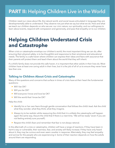## **PART II: Helping Children Live in the World**

Children need our views about life, the natural world, and social issues articulated in language they are developmentally able to understand. They observe not just what we say but what we do. How and what we teach our children depends on who we are: our civic nature; our spirituality; and our willingness to learn about events, respond with compassion and generosity, and pass that empathy on to our children.

## **Helping Children Understand Crisis and Catastrophe**

When crisis or catastrophe envelops our children's world, the most important thing we can do, after ensuring their physical safety, is to be thoughtful and responsive to their emotional and educational needs. The family is a safe haven where children can express their ideas and fears with assurance that their parents will protect them and teach them about the world that they will inherit.

If a child's family does not provide this safe haven, it is important that other adults in their lives do. Most children have at least one caring adult in their lives, but it is the job of all of us to ensure they never have less than one.

## **Talking to Children About Crisis and Catastrophe**

Many of the questions and concerns that surface in times of crisis have at their heart the fundamental questions:

- $\blacktriangleright$  Will I be OK?
- $\blacktriangleright$  Will you be OK?
- $\triangleright$  Will everyone I know and love be OK?
- $\blacktriangleright$  Will the world that I know be OK?

Help the child:

- I Identify his or her own fears through gentle conversation that follows the child's lead. Ask the child what they wonder, what they think, what they imagine.
- $\blacktriangleright$  Always try to be realistic while reassuring the child that it is unlikely the catastrophe will happen again the same way. Assure the child that if there is a next time, "We will be ready" (even if you are not feeling entirely sure yourself).
- $\blacktriangleright$  Respect the child's fears and remember that fear is not always rational.

In the aftermath of a crisis or catastrophe, children will have a range of reactions. If they have been in harm's way or vulnerable, their wariness, fear, and anxiety will likely increase. If they have only heard about it, they may be curious and even seem cavalier in response. Alternately, they may feel empathy and sorrow for the people who are experiencing it. Some of their reaction depends on how the adults around them are responding.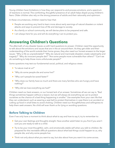Young children have limitations in how they can respond to and process emotions, and a spectrum of reactions is normal. The comforting, thoughtful presence of an adult helps dispel young children's fears. Older children also rely on the strong presence of adults and their rationality and optimism.

In these circumstances, children need to hear that:

- $\blacktriangleright$  People are working very hard to learn more about early warnings of natural disasters or violent attacks and ways to prevent loss of life and damage to society.
- $\triangleright$  As a family or school community, we will devise plans to be prepared and safe.
- $\blacktriangleright$  I am always here for you and will do everything I can to protect you.

## **Answering Children's Questions**

The aftermath of any disaster leaves us with hard questions to answer. Children need the opportunity to talk about the emotions and issues that are in the air around them. As they get older and their understanding of the world outside their home grows, they also need our honest answers to the larger issues: "Why is life so unpredictable?" "Why do natural and manmade disasters create catastrophe and tragedy?" "Why do innocent people die?" "Are some people more vulnerable than others?" "Can't we do something to help those more unfortunate people?"

Some questions may test our fundamental social, political, and religious views:

- $\blacktriangleright$  "Is nature mad at us?"
- $\triangleright$  "Why do some people die and some live?"
- $\blacktriangleright$  "Why can't people be saved faster?"
- $\triangleright$  "Why does our family have so much and there are many families who are hungry and have nothing?"
- $\blacktriangleright$  "Why did we lose everything we had?"

Children need our best answers, or our honest lack of an answer. Sometimes all we can say is, "Bad things sometimes happen without a reason, but we will always do everything we can to protect ourselves so the chance of a bad thing happening is smaller." Use examples from your own life that they can understand, such as wearing a seat belt to protect themselves in case there is an accident or cutting up food in small bites to avoid choking. Children need our thoughtfulness and willingness to help them seek answers. No child will ever thank us for lying or avoiding questions.

## **Before Talking to Children**

Even if we only have a moment to think about what to say and how to say it, try to remember to:

- $\triangleright$  Get your own feelings and thoughts straight. Have another adult listen to you first if you aren't sure you are ready to talk to a child.
- $\blacktriangleright$  Try to be your most thoughtful, calm, and emotionally stable self when you talk to children. Be prepared for the inevitable difficult questions about what bad things could happen to us, why people die, and why some people live.
- $\triangleright$  Think not only about what you want to say, but also about how you want it to come across.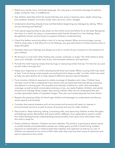- $\triangleright$  Watch your words, tone, and body language. You may give a nonverbal message of sadness, anger, confusion, fear, or indifference.
- $\triangleright$  Ask children what they think the words that they are using or hearing mean: death, drowning, loss, weather, disaster, hurricane, looter, hero, terrorist, victim, refugee.
- $\triangleright$  Understand what they already know and feel before beginning any dialogue by asking, "What are you thinking and feeling?"
- $\blacktriangleright$  Find natural opportunities to ask what's on the child's mind and follow his or her lead. Recognize the clues in a child's art, play, or conversations with friends. Accept his or her feelings. Read thoughtfully chosen picture books to support children's understanding.
- $\triangleright$  Check first before assuming either a lack of or strong interest. When you encourage a young child to draw, play, or talk about his or her feelings, you give permission to freely express scary or angry thoughts.
- $\blacktriangleright$  Honestly share your feelings, but always try to be in control of your emotions in the presence of your children.
- $\triangleright$  Be strong in a crisis even when feeling sad, scared, confused, or angry. The child needs to draw upon your strength, not take care of you. Demonstrate resilience and optimism.
- $\triangleright$  Provide the child hope by simply sharing hugs or reassuring smiles that say "I'm here for you and we will make it through this."
- Adapt your response to a child's developmental level and needs. While a young child may need to hear "Lots of strong, smart people are working hard to keep us safe," an older child may need to help you plan what to do or help research efforts to prevent natural disasters.
- $\blacktriangleright$  Try to monitor children's exposure to media coverage of disasters and crises. Children have not seen much of life or weathered many storms and can easily feel that everything, everyone, everywhere is coming apart. The quantity and intensity of television, radio, and newspaper coverage, as well as adult conversations during a crisis, can easily frighten children, and adults should try to manage those images. Very young children often do not understand that one incident generates weeks of repeated images. They also can't easily separate fact from fiction.
- $\blacktriangleright$  Respect the growing ability of school-age children and teenagers to understand and discuss issues openly and honestly.
- $\triangleright$  Consider that natural disasters such as hurricanes and tsunamis will spark an interest in environmental concerns as well as issues of poverty and race for older children.
- $\triangleright$  Stay tuned in. Keep listening, asking, conversing with, and reassuring children as their thoughts and feelings evolve. Remember that every child is different. Your explanations need to match the child's developmental understanding and personality. Don't give more information than the child is ready for.
- $\triangleright$  Protect children's idealism. Children are born idealists: The world is a good place where nature is usually friendly and predictable, people are mostly good, and life is worth living. Sudden exposure to catastrophe or violence tests their idealism and optimism as well as our own. If children are exposed to too much of life's dark side, they may lose their sense of optimism and start to experience toxic stress.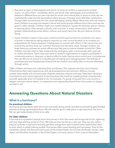- $\triangleright$  Stay alert to signs of stereotyping and racism. In times of conflict or exposure to societal issues, "us versus them" mentalities, ethnic and social class stereotypes, and contempt for behaviors different from our own may lead to racism and cultural bias. In times of crisis, we can inadvertently make harmful assumptions about groups of people and make false correlations. Though often unintentional, this can cause damaging, lasting effects. More than ever, we need to teach children to accept and respect cultural and social groups different from theirs and see the good in other people. Children need us to model tolerance, respect for diversity, and an interest in learning about other people, cultures, and countries. In every conversation, work toward greater understanding across ethnic, cultural, and social class lines. Be your best as a human being.
- $\blacktriangleright$  Honor children's need to have some control and find ways for them to contribute. Our sense of power is restored by taking steps to improve our own current situation or to increase our preparedness for future situations. Finding ways to connect with others in the community and around the world to show our common humanity has the same result. Younger children can draw thank-you pictures for police officers and help pack a natural disaster survival kit. Older children may also want to help create a family emergency plan, communicate with a pen pal, or collect donations. Teens may even want to research organizations to support, participate in community events or cleanups, or lead an effort to help. Having some control over circumstances that can feel out of control is a valuable part of healing and managing stress. The feelings of powerlessness and helplessness shared both by children and adults after a crisis are alleviated through action.

Older children and teens are cultivating their worldviews. This matures over time, but is heavily influenced by their early experiences and adult perspectives and opinions. Without a broad context, they readily and unconsciously integrate what they observe and hear. Help them develop a conscientious and curious approach to learning about the world by modeling these characteristics yourself, especially when it's hardest to do. For example, if a group of people from one country or religion commits a terror attack, it is important not to generalize that all from that country or religion are bad or evil.

## **Answering Questions About Natural Disasters**

### **What is a hurricane?**

#### **For preschool children:**

Hurricanes are big storms with lots of rain and really strong winds. Sometimes everything gets flooded and lots of things get knocked down. We will need to go to a safe place or get away from the storm. We can get ready ahead of time to be safe.

#### **For older children:**

A hurricane is a powerful tropical storm that comes in from the ocean and brings lots of rain, lightning, and very high whirling winds of 75 to 180 miles an hour (as fast as a race car). They are also called tropical cyclones or typhoons and they get their energy from warm tropical water before they head to land, which is called making landfall. Hurricanes often cause flooding and tornadoes. They hit the Caribbean islands, the East and Gulf coasts of the United States, the Far East, the Pacific islands, India, Japan, and Northern Australia. In the United States, hurricane season is from June to November.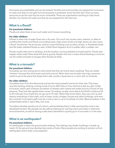Hurricanes are predictable and can be tracked. Families and communities can prepare for hurricanes to make sure that no one gets hurt and property is protected. Some families don't have as many resources to do this and may be more vulnerable. There are organizations working to help those families. Our family will make sure that we are prepared for the next one.

### **What is a flood?**

#### **For preschool children:**

Floods are when there is too much water and it covers everything.

#### **For older children:**

A flood is when lots of water flows into a dry area. Too much rain causes rivers, streams, or lakes to overflow their banks and flood surrounding areas. High ocean levels and high waves can also cause a flood. Sometimes, the structures used to control flooding such as dams, levees, or floodwalls break and the water released floods an area. A flash flood happens all of a sudden after a sudden rain.

Floods usually take time to develop, and the location can be predicted and planned for. Floods also happen when water flows downhill due to gravity. People who live in areas where flooding is common can be careful and plan to escape when floods are likely.

### **What is a tornado?**

#### **For preschool children:**

Tornadoes are very strong storms with winds that that can knock down anything. They are called "twisters" because the wind twists and twirls around. When there are tornado warnings, everyone needs to go to the place that keeps them safe, usually a basement or a room with no windows.

#### **For older children:**

Tornadoes form from thunderclouds and are the most powerful storms for their size. They have very fast swirling, twisting, sucking winds of up to 300 miles an hour (almost as fast as a jet). Unlike hurricanes, which swirl outward, tornadoes or twisters swirl inward and rotate around a funnel of low pressure. They look like upside-down cones. Tornadoes usually move above the Earth's surface at 35 to 50 miles per hour (mph) but can go up to 70 mph. When they touch down, they can suck up and destroy everything in their path, such as trees, trucks, bridges, houses and other buildings, and even farm animals. A tornado's path may be a mile or two or up to hundreds of miles. Most tornadoes in the United States strike in April, May, and June.

Tornadoes develop quickly out of a storm, and sometimes there is little warning that a storm has developed twisters. But people can be safe by listening for warning sirens and radio or television announcements, as well as having a safe place identified to quickly go to if a tornado is in the area.

### **What is an earthquake?**

#### **For preschool children:**

An earthquake is when the ground starts shaking. The shaking may shatter buildings or break up roads. Or the ground may develop big cracks or holes. Many people are working to protect us from earthquakes and to help us be prepared.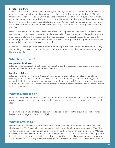#### **For older children:**

The Earth is divided into three layers: the core, the mantle, and the crust. Deep in the middle is a solid metal core that is very hot and also an outer core that is liquid. The outer core is about 1,300 miles thick and the inner core is about 800 miles to the center of the Earth. Next is a layer of hot minerals, called the mantle, which is flexible like plastic. The top layer is called the crust. All the oceans and the land are the top of the crust. The crust is typically about 25 miles thick beneath continents and about 6½ miles thick beneath oceans. The crust is relatively light and brittle. Most earthquakes occur within the crust.

Under the crust are tectonic plates made out of rock. These plates move all the time, but so slowly we can't feel it. The breaks in between the plates are called faults. Sometimes, a plate rubs or bumps into another plate and this causes an earthquake. Earthquakes create shocks and aftershocks that can be large or small. We may not even notice all the small earthquakes, but large earthquakes have destroyed cities and killed thousands of people.

Scientists are working hard to learn more about how to predict earthquakes and warn people. They are also working on how to protect buildings and other structures so that they can reduce the damage to life and property.

## **What is a tsunami?**

#### **For preschool children:**

A tsunami is an earthquake that happens beneath the sea. The earthquake can cause a big wave to form that can come onto the land and cause floods.

#### **For older children:**

A tsunami, or tidal wave, is a giant wave of water up to hundreds of feet high (as big as a large building) that rolls to the shore and knocks down and floods anything in its path. The bigger the tsunami, the farther the wave will reach onshore and flood more land. Scientists hope to find ways to give people in coastal areas more warning before a tsunami strikes so that they can move farther away and to higher areas.

### **What is a mudslide?**

Mudslides happen when there is excessive rain or flooding on the sides of hills or mountains. The solid ground becomes mud and slides down the hill, taking trees, buildings, and everything else down the slope.

People who live on hills or steep slopes can plan to get out safely as the ground gets full of water, before the mud begins to slide down the hill.

### **What is a wildfire?**

Wildfires are fires that cover a large area where there has been very little rain and all the trees and shrubs are dry. Wildfires can happen just as easily in housing developments as in forests. When the winds are strong, the fire can be carried by the wind and then destroy an even bigger area. Wildfires usually happen in late summer and fall in areas where rain is scarce. Terrible wildfires have happened in California, Australia, and other dry areas. They can start because of lightning, careless people who drop cigarettes or forget to put out campfires, or other reasons. They can last for days or even months.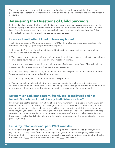We can know when fires are likely to happen, and families can work to protect their houses and prepare to flee to safety. Professionals are working on new tools and systems to prevent and respond to wildfires.

## **Answering the Questions of Child Survivors**

In the midst of any crisis, whether a violent attack or a natural disaster, everyone is scared, even the wonderful people who rescue others. Some were probably both scared and brave at the same time. Lots of people stayed scared for a long time and still have nightmares and scary thoughts. Police officers, firefighters, and soldiers all feel scared sometimes, too.

## **How can I feel better if I had to leave my home?**

The Federal Emergency Management Agency (FEMA) in the United States suggests that kids try to remember six things (slightly adapted from the original):

1. Disasters don't last very long. Soon, things will be back to normal, even if the normal is a little different than what it used to be.

2. You can get a new routine even if you can't go home for a while or never go back to the same home. You will settle down into a new place and you will meet new friends.

3. Look to your parents or other adults for help when you feel scared or confused. They will help you understand what is happening. Don't be afraid to ask questions.

4. Sometimes it helps to write about your experiences or to draw pictures about what has happened. You can describe what happened and how you feel.

5. It's OK to cry during a disaster, but remember, it will get better.

6. You may be able to help out. Children of all ages can help in the shelter by babysitting other children, cleaning up, or serving food. You can even help with sandbagging or cleaning up your house after a tornado, hurricane, or earthquake, or by creating care packages for those in need.

## **My mom (or dad, grandparent, friend, etc.) is really sad and not herself. Sometimes I think it is my fault. What can I do?**

Even if you are not the perfect kid in a time of crisis, how your mom feels is not your fault! Adults can be overwhelmed and confused by their feelings sometimes, too. When it's a bad time for your mom, don't take it personally. Like usual — but maybe a little extra — try to be helpful. She has a lot on her mind and, like you, is feeling sad and trying to figure out what to do. She will get better and will keep you safe. If you are ever worried about your mom (or anyone else) or she is unable to care for your basic needs, like food and shelter, talk to another adult — a neighbor, family member, teacher — or the police right away.

## **I miss my (relative, friend, pet). What can I do?**

Remember all the good things about\_\_\_\_. Draw some pictures, tell some stories, and let yourself cry. If your \_\_\_\_ is separated from you or missing, don't give up hope that everything will work out. Remember that \_\_\_\_\_ loved you and you will always have special memories of your time together. It's OK to still talk to \_\_\_\_ or act out what you would say if \_\_\_ were still here.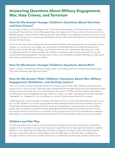## **Answering Questions About Military Engagement, War, Hate Crimes, and Terrorism**

## **How Do We Answer Younger Children's Questions About Terrorism and Hate Crimes?**

For younger children, as Fred Rogers said, "There are some people in this world who are very angry and haven't learned how to live with people they don't agree with." They come in all colors and live in different places. And sometimes they do terrible, awful things to hurt people. But there are many more people who know how to get along, and they are all over the world working hard to stop these people who do terrible things.

Terrorists are individuals and groups who represent only their own perspective, not any larger culture, religion, or community. Our anger, fear, and sense of powerlessness can sometimes cause us to feel and want to do senseless things — just like the terrorists did. Sometimes, decisions are made to respond and this can often escalate into military involvement. Most times, especially in our own communities, talking together, learning about others, and thoughtful problem-solving can help avoid rash behavior that leads to more conflict.

## **How Do We Answer Younger Children's Questions About War?**

Keep it simple: "Sometimes, whole countries, after much talking, still can't decide how to get along. They have militaries that fight each other."

## **How Do We Answer Older Children's Questions About War, Military Engagement, Retaliation, and Seeking Justice?**

This is a very hard subject, because adults don't always agree. Help older children understand that going to war is very unusual. There are many disagreements throughout the world and people do fight and go to war over them, but it is almost always a last resort. Children will hear adults talking about punishing terrorists and getting revenge, either as a tactic or a right. Just saying words like "revenge," "retaliation," or "vengeance" can contribute to a cycle of violence and should be avoided.

"Seeking justice" communicates to children the intent to live in a just world. Probably the best we can do is to tell children in a manner appropriate for their developmental level that sometimes the only thing that most people think we can do to stop very bad people or governments is to use military power. We can explain to children at their developmental level that we want them to learn how to live without violence and force, to use words, and to compromise. If all of us learned how to behave peacefully, no one would ever feel like fighting back. Discuss alternate solutions to war and conflict.

## **Children and War Play**

Studies show that many children are fascinated with implements of action and power, particularly weapons. It is important to accept that many boys especially will be fascinated and drawn to warlike behavior: both attacking and defending. Children engage in this play to take risks, feel powerful (during a time when they have little power), work through fears, or feel like they're helping. For younger children, rather than quickly banishing or condemning warlike play, recognize that police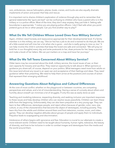cars, ambulances, rescue helicopters, planes, boats, cranes, and trucks are also equally dramatic implements of action and power that help and rescue.

It is important not to shame children's exploration of violence through play and to remember that general statements like "guns are bad" can be confusing to children who have a parent who is in the military or is a police officer. Most of the time, they don't stop anyway, they just hide it. Setting safe boundaries is appropriate. "I notice you are playing police officers. I don't feel safe when you point pretend guns at me or other people. Can you find another way to play?"

## **What Do We Tell Children Whose Loved Ones Face Military Service?**

Again, children need honesty and reassurance appropriate for their developmental level. If a family member is in the military, we can say, "She (or he) has a job to do and is trained to do that job. We are all a little scared and will miss her a lot when she is gone — and she is really going to miss us, too." It can help involve the child in activities that keep the loved one safe and connected. "We will pray (or hold her in our thoughts) every day and write postcards to her, draw pictures for her, keep a journal, and make a book of her letters. We can put markers on a map and trace her journeys."

## **What Do We Tell Teens Concerned About Military Service?**

Older teens may be concerned about the draft, military service, the moral issues of war, or their own capacity for bravery and sacrifice. They need an opportunity to talk about it. What opinions or guidance you share will, of course, depend on your politics. What teenagers need most from adults on this issue (and almost any issue) is an open ear and acceptance of their feelings and ideas. They need guidance rather than preaching. We need to help them arrive at the positions and courses of action that represent their emerging adulthood.

## **Answering Questions About Religious and Cultural Differences**

At the core of most conflict, whether on the playground or between countries, are competing perspectives and values, and a lot of misunderstanding. Having a sense of curiosity about others and humility about oneself can minimize a lot of struggles. If only this was as easily done as said.

Teaching and modeling tolerance, respecting diversity, and seeking inclusion are important responses to these issues and help develop children who can resolve issues peacefully. Children can learn these skills from the beginning. Unfortunately, they can also learn prejudice at a very young age. They can learn to fear differences, stereotype people, and reject others because of gender, color, race, size, culture, or any of the characteristics that become the object of stereotypes, including poverty. They learn this from the adults and children around them and from television, movies, music, and video games. They can develop negative attitudes about groups of people and apply them to individuals. Prejudice leads to scapegoating and discrimination.

Intolerance of others begins with ignorance and fear. Education is crucial to our attempts to create a more tolerant world. Children need to be taught about humanity, human rights, tolerance, the beauty of diversity, and how to be inclusive in order to combat images and stereotypes from the media and the world around them.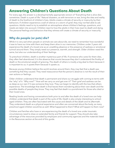## **Answering Children's Questions About Death**

For every age, the answer is a developmentally appropriate version of "Everything that is alive dies sometimes. Death is a part of life." Natural disasters, as with terrorism or war, bring the idea and reality of death to the forefront of children's lives. Adults create a climate of security or insecurity by their behaviors. If children experience a wall of silence or a storm of grief, they may not feel able to ask questions. Adults need to try to establish an atmosphere where children's feelings, questions, and needs are taken into account. Children react to how the adults in their lives react to death and dying. The personal feelings and behaviors that they witness will create a climate of security or insecurity.

## **Why do people (or pets) die?**

While it is very sad when people or animals we care about die, we need to remember how wonderful it was to have our time with them and keep them alive in our memories. Children under 3 years old experience the death of a loved one as an unsettling absence or the presence of sadness or emotional turmoil around them. They simply need our presence, warmth, and strength. Older children need the same, but also our understanding of their feelings.

To preschool children, death is another mysterious part of life. If someone who cares for them dies, they often feel abandoned. It is the absence that counts because they don't understand the finality of death or the emotional weight of grieving. The death of others is mostly a big deal to them because it is important to us; it upsets them because it upsets us.

Because young children believe the world revolves around them, they may feel that a death was something that they caused. They need reassurance that the person's absence is not the result of their own actions or feelings.

Older children understand that death is permanent and share our struggle with coming to terms with the "why" of it: "Why now?" "How will we carry on and get over it?" Their grief and sadness can be as deep as our own if it was someone they love. They can begin to identify with the loss that others experience. The knowledge that death is final leaves them wondering about their own death and the possible deaths of people they know. They may feel that death is a punishment for those who died or their loved ones.

Reading books and having conversations both prior to and after the death of a loved one can help children understand that death is part of the cycle of life. Death is also simply interesting to schoolaged children. They are often fascinated with the cause and details of the death and its aftermath. They understand death as a physical experience and often are concerned about the body, as many preschool-aged children would be as well: What happened to them? What will happen to them now?

Children and families who have or are experiencing the death of a loved one under traumatic circumstances need to draw on extended family and friends for support. They should also take advantage of the resources provided by employers and community agencies and the materials listed in the Resources section at the end of this guide.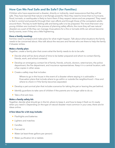## **How Can We Feel Safe and Be Safe? (for Families)**

Children who have experienced a disaster, directly or indirectly, need reassurance that they will be safe. They have learned that nature is terrifyingly powerful. Now they need to know that no hurricane, flood, tornado, or earthquake is likely to harm them if they respect nature and are prepared. They need to feel in control and powerful through their own efforts and through those of the competent adults around them. The key to both feeling safe and being safe is to be prepared. The more that even very young children are involved in the process of planning safety efforts, the more they will see natural disasters as a part of life they can manage. Evacuations for a fire or tornado drills can almost become family events, even if they are a little frightening.

#### **Have a family meeting:**

Families need to prepare and make plans for what might happen. Talk about what situations the family needs to be concerned about. Also talk about the rescuers and heroes who are there to help the family if disaster strikes.

#### **Make a family plan:**

Together, create a family plan that covers what the family needs to do to be safe:

- $\triangleright$  Decide what will be done ahead of time to be better prepared and whom to contact (family, friends, work, and school contacts).
- $\blacktriangleright$  Develop an emergency contact list of family, friends, schools, doctors, veterinarians, the police department, the fire department, and insurance representatives. Keep it in a central location, with a few copies in other areas.
- $\triangleright$  Create a safety map that includes:

Where to go in the house in the event of a disaster where staying in is advisable > Evacuation plans that include where to go within or outside the neighborhood > How and where to check in if the family becomes separated.

- $\triangleright$  Develop a pet survival plan that includes scenarios for taking the pet or leaving the pet behind.
- $\blacktriangleright$  Identify guardians to take care of children if the parents are no longer able to do so.
- $\blacktriangleright$  Take a first-aid class.

#### **Make a family safety kit:**

Together, decide what should go in the kit, where to keep it, and how to keep it fresh so it's ready when you need it. Depending on the type of natural disaster most common in your area, there are kit ideas online.

#### **A few ideas for a kit may include:**

- $\blacktriangleright$  Flashlights and batteries
- $\blacktriangleright$  Lighters and matches
- $\blacktriangleright$  Candles
- $\blacktriangleright$  First-aid kit
- $\triangleright$  Water (at least three gallons per person)
- $\triangleright$  Water purification kit or tablets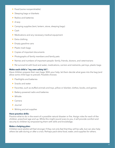- $\blacktriangleright$  Food (some nonperishable)
- $\blacktriangleright$  Sleeping bags or blankets
- $\blacktriangleright$  Radios and batteries
- $\blacktriangleright$  A tarp
- $\triangleright$  Camping supplies (tent, lantern, stove, sleeping bags)
- $\blacktriangleright$  Cash
- $\triangleright$  Medications and any necessary medical equipment
- $\blacktriangleright$  Extra clothing
- $\blacktriangleright$  Empty gasoline cans
- $\blacktriangleright$  Plastic trash bags
- $\triangleright$  Copies of important documents
- $\blacktriangleright$  Photographs of family members and family pets
- $\triangleright$  Names and numbers of important people: family, friends, doctors, and veterinarians
- $\blacktriangleright$  Pet survival kit with food and water, medications, carriers and restraints, pet toys, plastic bags

#### **Make each child a "my own safety kit":**

Have children prepare their own bags. With your help, let them decide what goes into the bag (and allow some child logic to prevail). Possible choices:

- $\blacktriangleright$  Flashlights and batteries
- $\blacktriangleright$  Snacks and water
- $\blacktriangleright$  Favorites, such as stuffed animals and toys, pillow or blanket, clothes, books, and games
- $\triangleright$  Battery-powered radio and batteries
- $\blacktriangleright$  *Whistle*
- $\blacktriangleright$  Camera
- $\blacktriangleright$  Journal
- $\triangleright$  Writing and art supplies

#### **Have practice drills:**

Practice what to do in the event of a possible natural disaster or fire. Assign roles for each of the children, preschool age and up. While this might sound scary to you, it will provide comfort and security to children by empowering them with skills and knowledge.

#### **Make a helping plan:**

Children (and adults) will feel stronger if they not only feel that they will be safe, but can also help others be safe during or after a crisis. Perhaps pack extra food, water, and supplies for others.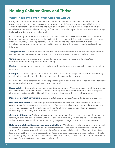## **Helping Children Grow and Thrive**

## **What Those Who Work With Children Can Do**

Caregivers and other adults who work with children are faced with many difficult issues. Life in a group setting inevitably involves accepting or reconciling different viewpoints. We all bring not only our own personalities and emotions into our work with children but our own politics, religion, and world viewpoints as well. The news may be filled with stories about people and events we have strong feelings toward or know very little about.

Crises can bring out the best and worst in each of us. The worst: selfishness and simplistic answers, blaming, avoidance, bias, or proceeding as if nothing has changed. The best: thoughtfulness, caring, kindness, courage, and the opportunity to guide children to important learning. Children learn from how people and communities respond in times of crisis. Adults need to model and teach the following:

**Thoughtfulness:** We need to make an effort to understand what others think and develop a broader perspective that respects the natural world and its relationship to people around the planet.

**Caring:** We are not alone. We live in a world of communities of children and families. Our interdependent future depends on mutual caring.

**Kindness:** Human beings here and around the world are hurting, and we can all take action to help in some way.

**Courage:** It takes courage to confront the power of nature and to accept differences. It takes courage to help others in their confusion, fear, loss, or grief while we tend to our own.

Learning: It will help others and us if we keep learning more about the world of nature, the wider world of people and culture, and the close-up world we inhabit.

**Responsibility:** It is our planet, our society, and our community. We need to take care of the world that we live in today and our children will inherit. Create opportunities for cooperation, such as projects, chores, and decision-making. Help children construct their own solutions to disagreements.

**Develop emergent curriculum:** Create projects based on children's current interests and concerns.

**Use conflict to learn:** Take advantage of disagreements far away and in the room to learn about conflict resolution, acceptance, and self-control. Provide materials that encourage children's play and expression representing their feelings and thoughts. Children need to work through issues; allow fantasy play or art as long as it does not hurt others.

**Celebrate differences:** Go beyond acceptance and tolerance. Research and celebrate differences in identity, culture, and beliefs. Notice unfairness and injustice in daily life and the news. Find the hope and goodness in every dark moment: the caring, helping, courage, tolerance, and compassion.

**Help children take action, and take action with them:** Write letters, send pictures, raise money, and connect with others. Take humanitarian action: International and national relief efforts always need support. Encourage empathy by allowing the safe and respectful discussion of feelings of hurt, fear, loss, and doubt (never forcing participation). Become language sensitive and teach children to be alert to hurtful language. Value and respect individual children, and try to eliminate stressful situations when necessary (new transitions, unnecessary challenges).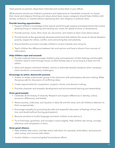Treat parents as partners. Keep them informed and involve them in your efforts.

While parents should use children's questions and statements as "teachable moments" to impart their moral and religious thinking and values about basic issues, caregivers should help children with anxiety, confusion, or interest without expressing their own religious or political views.

#### **Provide learning opportunities:**

- $\blacktriangleright$  Expand children's knowledge of the natural world through projects and experiments that involve growing things or measuring and tracking rain, snow, the speed of wind, or temperature.
- $\triangleright$  Provide pictures, music, films, food, art, excursions, and visitors to learn more about nature.
- $\triangleright$  Provide books at the appropriate developmental level that address the issues of natural disasters, poverty, respect for others, conflict, and overcoming fear and adversity.
- $\blacktriangleright$  Ensure that the curriculum includes children's current interests and concerns.
- $\triangleright$  Teach children the difference between fact and opinion and how to discern from sources of information.

#### **Help children cope and succeed:**

- $\blacktriangleright$  Provide materials that encourage children's play and expression of their feelings and thoughts. Children need to work through issues, so allow fantasy play or art as long as it does not hurt others.
- $\triangleright$  Value and respect individual children, and try to eliminate stressful situations when necessary (new transitions, unnecessary challenges).

#### **Encourage an active, democratic process:**

- $\triangleright$  Sustain or create a democratic group in the classroom with participatory decision-making. Make the group safe for discussion of conflicting ideas.
- $\triangleright$  Create opportunities for cooperation: projects, chores, and decision-making.
- $\triangleright$  Prioritize character and empathy development and environmental learning and stewardship.

#### **Grow good people:**

- $\triangleright$  Celebrate all the beauty of diversity. Research and respect differences in identity, culture, economic differences, and beliefs.
- $\triangleright$  Notice poverty, unfairness, and injustice in daily life and the news, and call children's attention to them as appropriate.
- $\blacktriangleright$  Encourage empathy by promoting the safe and respectful discussion of feelings of hurt, fear, loss, and doubt (without forcing participation).
- $\triangleright$  Become sensitive to hurtful language and teach children to be alert to it.
- $\blacktriangleright$  Try to find hope, goodness, and courage in every tragedy. Help children see caring, courage, tolerance, and compassion in them.

#### **Grow good citizens:**

- $\blacktriangleright$  Help children take action, and take action with them; for example, write letters, send pictures raise money, and connect with others.
- $\blacktriangleright$  Involve children in local and global humanitarian efforts.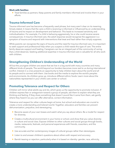#### **Work with families:**

 $\blacktriangleright$  Treat families as partners. Keep parents and family members informed and involve them in your efforts.

### **Trauma-Informed Care**

Trauma-informed care has become a frequently used phrase, but many aren't clear on its meaning. Simply stated, it means that the care a child is receiving is informed or influenced by an understanding of trauma and its impact on development and behavior. This leads to increased sensitivity and individualization. For example, if a child is behaving aggressively, he or she could receive severe consequences. In trauma-informed care, the adult response would recognize the aggression is a symptom of trauma and respond with interventions that treat and heal rather than simply suppress.

While parents can recognize the signs of trauma and the need for trauma-informed care, it is important to seek support and professional help when you suspect a child needs this type of care. The entire family deserves support and healing. Caregivers can be an integral part of the community of caring that a child deserves. Seeking additional expertise in trauma-informed care is valuable for all who work with children.

### **Strengthening Children's Understanding of the World**

All but the youngest children are aware that we live in a big world with many countries and many different kinds of people. The world beyond our borders becomes more real to us during international conflict. Interest in a crisis presents an opportunity to help children learn about the world and all its people and to connect with them. Use books and the media to explore the world's peoples and environments. As children grow up, introduce different ethnic foods. Learn more about the nationalities represented in your child's care center or school.

## **Promoting Tolerance and Respect for Others**

Children will mirror what adults say and do, which gives us the opportunity to promote inclusion. If children express fear or antagonism toward a group of people, ask them to explain what they are thinking and feeling. If they share something that doesn't sound like it came from them, ask gently where they heard it so you can offer alternative, correct information.

Tolerance and respect for other cultures begin at home, but school and education are crucial to create a more understanding and tolerant world. Together, educators and families can prevent dehumanization, prejudice, and stereotyping.

- $\triangleright$  Become aware of your own biases and watch what you say about others. Be a model for respect for diversity.
- $\triangleright$  Create a multicultural environment in your home or school, and show that you value diversity in culture and social class. Expose children to other cultures and social groups through books, media, restaurants, festivals, and personal experiences with friends, coworkers, and the community.
- $\triangleright$  Use accurate and fair contemporary images of cultural groups rather than stereotypes.
- $\blacktriangleright$  Listen to and answer children's questions about others with respect and accuracy.
- $\triangleright$  Banish teasing or rejection, particularly when it is based on identity: gender, race, ethnicity,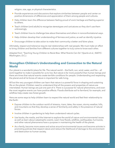religion, size, age, or physical characteristics.

- $\triangleright$  Provide experiences and discussions that explore similarities between people and center on positive dimensions of differences and appreciation of them among people and cultures.
- $\blacktriangleright$  Help children learn the difference between feeling proud of one's heritage and feeling superior to others.
- $\blacktriangleright$  Teach children (and adults) to recognize stereotypes and caricatures so they don't use them unknowingly.
- $\blacktriangleright$  Teach children how to challenge bias about themselves and others in nonconfrontational ways.
- $\blacktriangleright$  Help children develop their understanding of fairness and justice, as well as identify injustice.
- $\blacktriangleright$  Encourage children to take action to make their community a better and fairer place.

Ultimately, respect and tolerance require real relationships with real people. We must make an effort to bring children and families from different cultures together to truly come to know each other.

Adapted from "Teaching Young Children to Resist Bias: What Parents Can Do" (Sparks et al., NAEYC: Washington, D.C.).

## **Strengthen Children's Understanding and Connection to the Natural World**

Our planet is a wonderful place for life. The natural world — the Earth, sun, wind, water, and fire — all work together to make it possible for us to live. But nature is far more powerful than human beings and there are times that natural events create terrible conditions for people. Understanding and respecting the planet and all its forces of nature is important for safe living.

All but the very youngest children can learn that nature is a powerful force in shaping and sustaining life on the planet. Children need to understand that all the powers and properties of nature are interrelated. Human beings are just one part of it. There is a purpose for natural phenomena, and even the most negative events can have positive effects: Floods distribute soil to farmland, for example, and wildfires help create new forest growth.

Here are some ways to help children learn to respect the natural world and feel their relationship to the Earth:

- $\blacktriangleright$  Expose children to the outdoor world of streams, rivers, lakes, the ocean, stormy weather, hills, and mountains so that they develop a sense of familiarity and safety in the presence of natural forces.
- $\blacktriangleright$  Involve children in gardening to help them understand natural cycles.
- $\triangleright$  Use books, the media, and the Internet to explore the world of nature and environmental issues as well as learn about catastrophic events. Learn how floods, wildfires, earthquakes, hurricanes, and other natural phenomena have a purpose in maintaining the health of the planet.
- $\triangleright$  As a family, become more aware and active around environmental issues and become activists in promoting policies that respect nature and reduce the likelihood of damage to the environment and destruction to human society.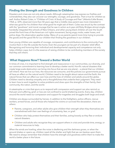## **Finding the Strength and Goodness in Children**

Disasters and crises are not only about needs. Although catastrophes may expose our frailties and vulnerabilities, they also can uncover our strengths, courage, and goodness. That is true for children as well. Author Robert Coles, in "Children of Crisis: A Study of Courage and Fear" (Atlantic/Little Brown, 1964, p. 329), observed more than 50 years ago that a middle-class parent was more interested in what was good for his children than what good he might ask of them. Coles was struck by the contrast with the "goodness" and moral courage that he saw in action as 6-year-old Ruby Bridges almost singlehandedly integrated the schools of New Orleans, and other young black children all over the South joined the front lines of the American civil rights movement, facing angry mobs, water hoses, and police dogs. His observation applies today: Many of us as parents spend more time trying to provide the goods and the good life for our children than finding the goodness in our children.

Even young children are capable of courage, compassion, and contributions to the community if we involve them in the life outside the home. Even the youngest can be part of a disaster relief effort. Recognizing and honoring their individual and developmental capacity and competence not only helps children cope, but it is the essence of raising children to be contributing members of the society that they will inherit.

## **What Happens Now? Toward a Better World**

In times of crisis, it is important to find strength and reassurance in our communities, our diversity, and our common commitment to learning how to develop a better world. Horrific natural disasters that create large-scale destruction can bring into focus that we are one planet — a planet that our children will inherit. How we live our lives, the resources we consume, and the policies our governments pursue all have an effect on the natural world. Children need to be taught about nature and the Earth; the natural forces that can affect our own lives and the lives of children and adults around the globe. Children need to develop empathy and a thoughtfulness that underlie their judgment. They need to learn how to work together to solve problems and draw upon the strengths of their family, their community, the nation, and the world.

A catastrophe or crisis that spurs us to respond with compassion and support can also remind us that pain and suffering, grief, or loss are not confined to world-shattering events. Every day, children around the world need our compassion and support for tragedies and struggles both large and small.

Children are always surrounded by heroes. In addition to the firefighters, police officers, rescue workers, armed forces, and all those who helped the victims or survived the devastation, there are others:

- $\blacktriangleright$  Parents, caregivers, and other adults who give children their strength when they themselves are overwhelmed with their own feelings of uncertainty, fear, or grief.
- $\triangleright$  Children who help protect themselves and their families, acting bravely as they flee or endure natural disasters.
- $\triangleright$  Children and adults who recognize they can support others in crisis and provide time, energy, or material resources to help.

When the winds are howling, when the noise is deafening and the darkness grows, or when the ground shakes or opens up, children need all the shelter and light that we can bestow upon them. We need to always remember that children have the strength and goodness within them to make the world a better place in the future.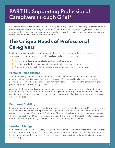## **PART III:** Supporting Professional Caregivers through Grief\*

Emotionally healthy staff are at the heart of strong, effective programs. We can't expect caregivers and others to create a warm, nurturing environment for children when they are struggling with powerful emotions. They simply can't give something they don't have. This section offers some perspective and information on how to support staff through grief.

## **The Unique Needs of Professional Caregivers**

Much has been written about supporting staff through grief in the workplace, but the needs of caregivers vary widely from those in other professions for several reasons:

- $\triangleright$  Staff develop deeply personal relationships with their clients.
- $\triangleright$  Caregivers and others must maintain an emotionally stable environment.
- $\triangleright$  Change is constant in child care centers, shelters, hospitals, and similar settings.

## **Personal Relationships**

Staff become very personally connected to their clients — children and families. When clients experience loss, caregivers are often directly impacted. Children and families rely on caregivers to provide a safe, comforting, dependable environment after a loss, even when the caregiver might be processing his or her own feelings about a situation.

Additionally, the range and scope of experiences a caregiver encounters are vastly larger than those encountered by employees in other industries. In a given day, a caregiver might comfort a child whose pet died, encourage a parent who is grieving over the diagnosis of a disability, or support parents who are facing divorce.

## **Emotional Stability**

In many industries, an employee struggling with a loss can close the office door and "muscle" through his or her work while quietly and privately dealing with grief. Caregivers don't have the option of retreating to a private office during difficult times. They're in the classroom, clinic, shelter, etc., where children and adults need them to be present, engaged, and involved. This reality can tax a caregiver's emotional reserves, potentially leading to burnout and other negative outcomes.

## **Constant Change**

Perhaps more than any other industry, caregivers work in an environment of constant change. Children and families enroll and depart. Children move to new classrooms or new schools. Staff turnover tends to be higher than in other industries. All these realities can cause stress and grief for staff, but are rarely acknowledged.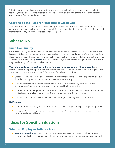\*The term professional caregiver refers to anyone who cares for children professionally, including teachers, therapists, clinicians, medical personnel, social workers, and others, rather than parents, grandparents, families, and guardians.

## **Creating a Safe Place for Professional Caregivers**

Acknowledging and talking about these challenges goes a long way in diffusing some of the stress caregivers feel. In the following segments, you'll find more specific ideas on building a staff community that fosters healthy emotional expression for caregivers.

## **What to Do**

## **Build Community**

Child care centers, clinics, and schools are inherently different than many workplaces. We are in the business of dealing with human relationships and emotions, day in and day out. Caregivers need and deserve a warm, comfortable environment just as much as the children do. By building a strong sense of community in the setting **before** a crisis or loss occurs, we ensure that caregivers find the support they need during difficult personal situations.

**The culture and environment can either nurture staff's emotional growth or hinder it. Every** member of the staff plays a part in how the community feels. Think about how well your organization fosters emotional well-being for staff. Below are a few ideas to consider:

- $\triangleright$  Create a warm, welcoming space for staff. This might take some creativity, depending on your floorplan, but try to consider it a necessity rather than a luxury.
- $\triangleright$  Work on establishing a healthy community culture in your center. Say no to gossip and encourage staff to communicate, work together, and build friendships.
- $\triangleright$  Spend time on building relationships. Be transparent in your expectations and think about how to divide responsibilities in a way that fosters growth while reducing competition.
- $\blacktriangleright$  Plan occasional social activities and use staff meetings effectively to build community.

#### **Be Prepared**

- $\blacktriangleright$  Remember the tasks of grief described earlier, as well as the general tips for supporting adults.
- $\triangleright$  Stay up to date on company policies so you know (and can answer) questions about insurance, benefits, and medical leave.

## **Ideas for Specific Situations**

## **When an Employee Suffers a Loss**

**Respond immediately.** Reach out to an employee as soon as you learn of a loss. Express sympathy and ask what you can do to help. Listen to the employee and respect his or her wishes,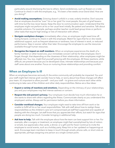particularly around disclosing the loss to others. Send condolences, such as flowers or a note. Continue to check in with the employee, e.g., "It's been a few weeks since David died. How are you doing?"

- **Avoid making assumptions.** Grieving doesn't unfold in a neat, orderly timeline. Don't assume that an employee should be "over" his or her grief. For most people, the pain of grief lessens with time but the loss never leaves. Keep the door to communication open. Understand that the employee might not perform at his or her usual level initially. Be patient and sensitive. Talk about possible solutions. For example, perhaps another teacher could lead group times or perform other tasks that require high energy or lots of interaction with others.
- **Navigate workplace changes.** Immediately after a loss, an employee might need time off. Going forward, continue to check in with the employee. Watch for signs that he or she needs additional support, such as frequent absences or tardiness, loss of interest in work, or reduced performance. Step in sooner rather than later. Encourage the employee to use the resources available through human resources.
- **Recognize the impact on staff members.** When an employee experiences the death of a family member or other loved one, your immediate concern will be for that employee. Don't forget, though, that depending on the closeness of their relationship, other employees might be affected, too. You, too, might find yourself grieving with the employee. All these reactions, while difficult, are present because you've developed close, intimate relationships and because your staff cares about one another. Focus on nurturing those relationships and providing comfort.

## **When an Employee Is Ill**

When an employee becomes seriously ill, the entire community will probably be impacted. You and your staff might feel intense grief, wonder how to help, or worry about how these changes will affect your team. It's important to allow yourself — and your staff — to grieve and nurture each other while continuing to take care of the children and other daily responsibilities. Below are a few ideas:

- **Expect a variety of reactions and emotions.** Depending on the intimacy of your relationships, you and your employees may feel intense sadness or concern.
- **Respect the sick person's privacy.** Your employee must decide how much information he or she wants to share with others regarding the illness. Communicate clearly so you understand the employee's wishes. Always ask for permission before you share information.
- **Fonsider workload changes.** Your employee might need to take time off from work or be unable to fulfill all his or her usual responsibilities. Talk with staff about how to realign these responsibilities so the children's care isn't compromised yet staff feel supported and capable of dealing with the changes. Let staff know that you appreciate their efforts, but watch for signs that people are doing too much. Consider bringing in additional help.
- **Ask how to help.** Talk with the employee about how the team can best support him or her. For example, after a surgery or treatment, an employee might feel overwhelmed by lots of visitors or emails, but appreciate a few cards, a dinner, or a gift card for food. Continue to invite the employee to social events, such as a holiday party. Keep him or her updated on happenings at work. Encourage team members to keep in touch through emails, phone calls, or short visits as appropriate, perhaps assigning one person as a single contact point.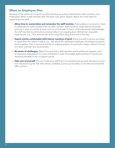### **When an Employee Dies**

Because of the nature of our work, we often develop very close relationships with coworkers and employees. When a staff member dies, the team may grieve deeply. Below are a few ideas for supporting your staff:

- **Allow time to memorialize and remember the staff member.** Participating in an event or ritual to celebrate the staff member's life can offer comfort. Staff members might attend memorial services or plan an activity at work, such as a fundraiser, in honor of the deceased. Acknowledge the staff member's contributions occasionally on an ongoing basis. Remember enjoyable experiences, e.g., "This reminds me of the song Alice sang at the end of the day."
- **Expect and be comfortable with intense reactions of grief.** Allow yourself to grieve and keep an open door for others to talk to you. Talk about the deceased employee, remembering special times together. Plan a memorial activity or ongoing project; for example, create a library in honor of a team member who loved books.
- **Be aware of challenges.** Watch for signs that a staff member needs additional support, such as excessive absenteeism or a loss of interest in work. Encourage staff members to use human resources benefits or join a support group.
- **Fake care of yourself.** You can't help your staff if you're overwhelmed yourself. Be aware of your own reactions to grief. Talk with others, meditate, journal, go for walks, or do other activities that offer comfort.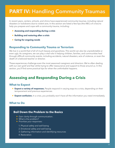## **PART IV: Handling Community Traumas**

In recent years, centers, schools, and clinics have experienced community traumas, including natural disasters or lockdowns due to violent acts. In this section are listed a few tips (the ABCs of crisis) to help you prepare and cope with a community trauma, including:

- **Assessing and responding during a crisis**
- **Building and restoring after a crisis**
- **F** Caring for ongoing needs

#### **Responding to Community Trauma or Terrorism**

We live in a world that is full of much beauty and goodness. This world can also be unpredictable or even ugly. As caregivers, we can play a vital role in helping children, families, and communities heal through difficult community events, including accidents, natural disasters, acts of violence, or even the death of a beloved teacher or director.

These experiences challenge even the most seasoned caregivers and directors. We're often dealing with our own grief and fear while trying to offer reassurance and support to those around us. In this section, you'll find some practical tips for when the unthinkable happens.

## **Assessing and Responding During a Crisis**

#### **What to Expect**

- **Expect a variety of responses.** People respond in varying ways to a crisis, depending on their temperament and previous experiences.
- **Expect confusion.** In a crisis, you probably won't have all the information you need immediately.

#### **What to Do**

#### **Boil Down the Problem to the Basics**

- $\triangleright$  Gain clarity through communication.
- $\triangleright$  What is the problem?
- $\blacktriangleright$  Prioritize your responses:
	- 1. Physical safety and well-being
	- 2. Emotional safety and well-being
	- 3. Gathering information and identifying resources
	- 4. Restoration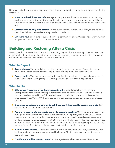During a crisis, the appropriate response is that of triage — assessing damages or dangers and offering safety and care:

- **Make sure the children are safe.** Keep your composure and focus your attention on creating a calm, reassuring environment. You may have to wait to process your own feelings until later. One way to do this in a crisis is to ask the question, "What does this situation demand of me right now?"
- **Communicate quickly with parents.** In particular, parents want to know what you are doing to keep their children safe and what they need to do to help.
- **Get the facts.** Rumors tend to run wild during a community trauma. Wait to offer any information or opinions until the facts have been confirmed.

## **Building and Restoring After a Crisis**

After a crisis has been resolved, the work of rebuilding begins. This process may take days, weeks, or even months, depending on the nature of the situation. Generally, some members of the population will be directly affected while others are indirectly affected.

#### **What to Expect**

- **Expect change.** The period after a crisis is generally marked by change. Depending on the nature of the crisis, staff and families might leave. You might need to revisit policies.
- **Expect conflict.** The fear experienced during a crisis doesn't always dissipate when the crisis is over. Staff and families might express varying opinions on what should happen next.

#### **What to Do**

- **Offer support sessions for both parents and staff.** Depending on the crisis, it may be appropriate to ask a mental health professional to conduct these sessions. Additional training sessions may be needed for staff. It may be helpful to add details about how this could be arranged, such as: "Your RM/HR business partner can provide assistance with arranging these sessions."
- $\blacktriangleright$  **Encourage caregivers and parents to get the support they need to process the crisis.** Take care of your own emotional health as well.
- **Avoid overexposure to the media and try to keep perspective.** Many people who have lived through traumatic community events report that the media's portrayal of the event was often inaccurate and actually added to their trauma. Continuously watching and rewatching media feeds can create a skewed perspective that the world is wholly unsafe, which can lead to feelings of hopelessness. Get the information you need and then focus your energy on grieving, healing, and rebuilding. Do not allow children access to television or radio coverage.
- **Plan memorial activities.** These activities give adults and children a positive, actionable focus for their grief and can provide comfort and build unity. Sharing grief as a community can be a powerful experience.
- **Provide a printed handout to parents** with suggestions on how to manage this at home.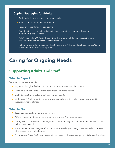## **Coping Strategies for Adults**

- $\triangleright$  Address basic physical and emotional needs.
- $\triangleright$  Seek accurate and helpful information.
- $\triangleright$  Focus on those things we can control.
- $\blacktriangleright$  Take time to participate in activities that are restorative rest, social support, meditation, exercise, nature.
- $\triangleright$  Ask, "Is this helpful?" Avoid those things that are not helpful, e.g., excessive news viewing after a natural disaster or violent event.
- $\triangleright$  Reframe distorted or black-and-white thinking, e.g., "The world is all bad" versus "Look how many people are helping today."

## **Caring for Ongoing Needs**

## **Supporting Adults and Staff**

### **What to Expect**

Common responses in adults:

- $\blacktriangleright$  May avoid thoughts, feelings, or conversations associated with the trauma
- $\triangleright$  Might have an inability to recall important aspects of the trauma
- $\blacktriangleright$  Might demonstrate a detachment from current events
- $\triangleright$  Might have difficulty sleeping, demonstrate sleep deprivation behavior (anxiety, irritability, outbursts, hypervigilance)

#### **What to Do**

- Recognize that staff may be struggling, too.
- $\triangleright$  Offer accurate and timely information as appropriate. Discourage gossip.
- $\triangleright$  During a crisis at the center, staff might need to temporarily set aside emotions to focus on the children. Articulate this.
- At the same time, encourage staff to communicate feelings of being overwhelmed or burnt out. Offer support and find solutions.
- $\blacktriangleright$  Encourage self-care. Staff must meet their own needs if they are to support children and families.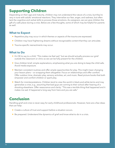## **Supporting Children**

Depending on their age and maturity, children may not understand the nature of a crisis, but they're very in tune with adults' emotional reactions. They internalize our fear, anger, and sadness, but often lack the cognitive and verbal skills to process those emotions. As caregivers, we can give children the gift of a safe place during a crisis. Below are a few thoughts, some of which may be helpful for parents as well.

## **What to Expect**

- $\blacktriangleright$  Repetitive play may occur in which themes or aspects of the trauma are expressed.
- $\triangleright$  Children may have frightening dreams without recognizable content that they can articulate.
- $\blacktriangleright$  Trauma-specific reenactments may occur.

## **What to Do**

- $\blacktriangleright$  It's OK to say to a child, "This makes me feel sad," but we should actually process our grief outside the classroom or clinic so we can be fully present for the children.
- $\triangleright$  Give children brief, simple explanations, emphasizing what you are doing to keep the child safe. Avoid media exposure.
- $\triangleright$  Maintain consistent routines and offer ample opportunities for play. This might mean changing your lesson plans — or scrapping them altogether. Focus on relationships and offer comfort. Offer outdoor time, dramatic play, sensory activities, art, and music. Read picture books that both empower and comfort children or spark play.
- $\triangleright$  Watch for misinterpretations. Children tend to view the world in black-and-white terms and may generalize a crisis, e.g., assuming that bad guys are coming to their school after hearing of a shooting elsewhere. Offer reassurance and clarity: "This was a terrible thing that happened and it makes me sad. It happened a long way from here and you are safe."

## **Conclusion**

Handling grief and crisis is never easy for early childhood professionals. However, here are a few ideas that can help:

- $\triangleright$  Create a culture of trust and support before a situation occurs.
- $\triangleright$  Be prepared: Understand the dynamics of grief and know what to do in a crisis.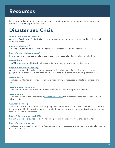## **Resources**

For an updated annotated list of resources and more information on helping children cope with tragedy, visit www.brighthorizons.com.

## **Disaster and Crisis**

#### **American Academy of Pediatrics**

American Academy of Pediatrics is a comprehensive source for information related to helping children cope with disaster.

#### **apa.org/helpcenter/**

American Psychological Association offers numerous resources on a variety of topics.

#### **https://www.childtrauma.org/**

Information and resources to help improve the lives of traumatized and maltreated children.

#### **www.ed.gov.**

The U.S.Department of Education has current information on education related topics.

#### **https://www.mercycorps.org/**

An international relief and development organization whose website provides information on programs all over the world and shows how to get help, give, share grief, and support children.

#### **www.nami.org.**

The National Alliance on Mental Health has a wide variety of resources available for children and adults.

#### **www.nationalcouncil.org**

The National Council for Behavioral Health offers mental health support and resources.

#### **www.nea.org**

The National Education Association's School Crisis Guide is a substantive resource for dealing with school crisis.

#### **www.redcross.org/**

The American Red Cross provides emergency relief and immediate response to disasters. The website includes a wealth of suggested materials for children and caregivers regarding disasters,and avenues for volunteerism or assistance.

#### **https://njaes.rutgers.edu/FS702/**

Rutgers University provides suggestions on helping children recover from crisis or disaster.

#### **https://www.trynova.org/**

The National Organization for Victim Assistance provides resources and service information for victims of crimes and crises.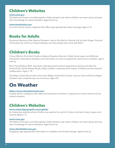## **Children's Websites**

#### **www.noaa.gov**

The National Oceanic and Atmospheric Administration site where children can learn about and test their knowledge of natural disasters. Ages 8 and up

#### **www.timeforkids.com**

A current events online magazine that offers age-appropriate news coverage. Ages 6-12

## **Books for Adults**

Emotional Recovery After Natural Disasters: How to Get Back to Normal Life by Ilana Singer. Practical information for victims of natural disasters and the people who work with them.

## **Children's Books**

I Know What to Do:A Kid's Guide to Natural Disasters, Bonnie S. Mark, Aviva Layton and Michael Chesworth. Facts about disasters and information on how to prepare for and survive a disaster. Age 6 and up

River Friendly,River Wild, Jane Kurtz. Narrative poems about experiences during and after the Grand Forks, North Dakota floods. Helps children understand the impact of floods and the need for collaboration. Ages 7-10

The Magic School Bus:Inside a Hurricane (Magic School Bus Series), Joanna Cole and Bruce Degen. Children look inside the eye of a hurricane. Ages 4-8

## **On Weather**

#### **https://www.educationworld.com/**

A great site for caregivers with ideas and classroom activities in response to current events such as natural disasters.

## **Children's Websites**

#### **www.nationalgeographic.com/ngkids/**

An interactive website where children can explore the world of nature, animals, history, space, and science.Ages 6-13

#### **www.noaa.gov**

The National Oceanic and Atmospheric Administration site where children can learn about and test their knowledge of natural disasters. Ages 8 and up

#### **www.climatekids.nasa.gov**

Engaging, age-appropriate information on weather and climate change. Ages 8 and up.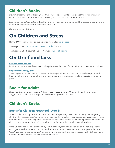## **Children's Books**

Down Comes the Rain by Franklyn M. Branley. A concise, easy to read look at the water cycle, how water is recycled, clouds are formed, and why we have rain and hail. Grades 2-4

Flash,Crash,Rumble and Roll by Franklyn Branley. Facts about weather and the causes of storms and a few simple experiments about weather. Grades K-4

Hurricane by Gail Gibbons

## **On Children and Stress**

Harvard University Center on the Developing Child: Toxic Stress

The Mayo Clinic: Post Traumatic Stress Disorder (PTSD)

The National Child Traumatic Stress Network: Types of Trauma

## **On Grief and Loss**

#### **www.childtrauma.org**

Provides information and resources to help improve the lives of traumatized and maltreated children.

#### **https://www.dougy.org/**

The Dougy Center, the National Center for Grieving Children and Families, provides support and training nationally and internationally to individuals and organizations seeking to assist children in grief.

## **Books for Adults**

Parenting through Crisis: Helping Kids in Times of Loss, Grief and Change by Barbara Coloroso. Suggestions to help parents support children through difficult times.

## **Children's Books**

## **Books for Children Preschool – Age 8:**

The Invisible String, by Patrice Karst, is a beautiful, simple story in which a mother gives her young children the message that "people who love each other are always connected by a very special string made of love." This book explores separation as a universal theme. Use it to help children understand all types of separation, from going to school to going to bed to the death of a loved one.

Nana Upstairs and Nana Downstairs, by Tomie dePaola, recounts de Paola's childhood experience of his grandmother's death. The book addresses the subject in simple terms (ie. explains the term "died" as meaning someone won't be there anymore), and shows the process of a child struggling to understand what it means to lose someone he loves.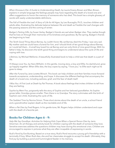When Dinosaurs Die: A Guide to Understanding Death, by Laurie Krasny Brown and Marc Brown, explains in simple language the feelings people may have regarding the death of a loved one and offers suggestions to honor the memory of someone who has died. This book has a simple glossary of words with easily understandable definitions.

The Fall of Freddie the Leaf: A Story of Life for All Ages, by Leo Buscaglia, Ph.D., touches children and adults alike, illustrating the delicate balance between life and death as Freddie the Leaf changes with the passing seasons and the coming of winter.

Badger's Parting Gifts, by Susan Varley. Badger's friends are sad when Badger dies. They realize though that he lives on through their memories of his kindness and goodness. By the spring, Badger's friends are beginning to heal.

The Tenth Good Thing About Barney, by Judith Viorst. My cat Barney died this Friday. I was very sad. My mother said we could have a funeral for him, and I should think of ten good things about Barney so I could tell them... A small boy loved his cat Barney and can only think of nine good things. With his father's help, he discovers the tenth good thing and begins to understand about the cycle of life and coping with loss.

Lifetimes, by Michael Mellonie. A beautifully illustrated book to help a child see that death is a part of life.

I'll Always Love You, by Hans Wilhelm. In this gentle, moving story, a boy and Elfie, his dachshund, grow up happily together. When Elfie dies, the boy copes by saying, "I love you," to Elfie each night as he goes to sleep.

After the Funeral by Jane Loretta Winsch. This book can help children and their families move forward towards acceptance, understanding, and hope. It discusses the different feelings that accompany the death of a loved one, including sadness, grief, and the fear of death itself.

I Miss You: A First Look at Death by Pat Thomas. A book about feelings that invites children to tell how they are feeling.

Sophie by Mem Fox, poignantly tells the story of Sophie and her beloved grandfather. As Sophie grows taller, Grandpa grows smaller. Then there is no Grandpa. The story culminates with the birth of Sophie's own child, illustrating the cycle of life.

The Saddest Time by Norma Simon. Three short stories about the death of an uncle, a school friend and a grandmother explain death as the inevitable end of life.

When a Pet Dies by Fred Rogers. In his gentle tone, Mr. Rogers helps children understand and cope with the death of a favorite pet.

## **Books for Children Ages 6 – 9:**

Help Me Say Goodbye: Activities for Helping Kids Cope When a Special Person Dies by Janis Silverman. An art therapy and activity book for children coping with the death of someone they love. Sensitive exercises address the questions children may have during this emotional crisis. Children are encouraged to express in pictures what they are often incapable of expressing in words.

Rudi's Pond by Eve Bunting. Based on a true story, Rudi's Pond recounts a young girl's friendship with a terminally ill boy. When Rudi dies, she and her classmates struggle to accept his death. Ultimately, they find joy by building a pond and hummingbird feeder in his memory.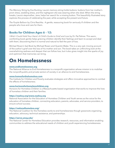The Memory String by Eve Bunting. Laura's memory string holds buttons: buttons from her mother's prom dress, wedding dress, and the nightgown she was wearing when she died. When the string breaks, Laura's stepmother, Jane, helps her search for a missing button. This beautifully illustrated story explores the process of celebrating the past, while accepting the present and future.

The Purple Balloon by Chris Raschka. A gentle, reassuring book for seriously ill children and the people who love and care for them.

## **Books for Children Ages 6 – 12:**

I Wish I Could Hold Your Hand: A Child's Guide to Grief and Loss by Dr. Pat Palmer. This warm, comforting book gently helps grieving children identify their feelings and learn to accept and deal with them, discovering that it is normal and natural to feel the pain of loss.

Michael Rosen's Sad Book by Michael Rosen and Quentin Blake. This is a very sad, moving account of the author's grief over the loss of his mother and son. The book takes an unflinching look at the overwhelming sadness and despair that can follow loss, but it also gives insight into the sparks of joy and optimism that memories can bring.

## **On Homelessness**

#### **www.endhomelessness.org**

The National Alliance to End Homelessness is a nonprofit organization whose mission is to mobilize the nonprofit,public,and private sectors of society in an alliance to end homelessness.

#### **www.homesforthehomeless.com**

The Institute for Children and Poverty evaluates strategies and offers innovative approaches to combat the effects of homelessness.

#### **www.horizonsforhomelesschildren.org**

Horizons for Homeless Children is a Massachusetts-based organization that works to improve the lives of homeless children and their families.

#### **https://naehcy.org/www.naehcy.org**

National Association for the Education of Homeless Children and Youth serves as the voice for the education of homeless children, connecting educators, parents, advocates, and service providers, to ensure school success.

#### **https://nationalhomeless.org/**

The National Coalition for the Homeless works to end homelessness though grassroots organizing, education, advocacy, technical assistance, and partnerships.

#### **https://serve.uncg.edu/**

The National Center for Homeless Education provides research, resources, and information enabling communities to address the educational needs of children and youth experiencing homelessness.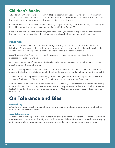## **Children's Books**

A Shelter in our Car by Maria Teste, Karen Ritz (Illustrator). Eight-year-old Zettie and her mother left Jamaica in search of education and a better life in America, and now live in an old car. The story shows how family love thrives, regardless of where you live. Pre-k - Grade 2

Changing Places:A Kid's View of Shelter Living by Margie Chalofsky, Glen Finland,Judy Wallace,Ingrid Klass (Illustrator). A poignant view of shelter life for children. Ages 6-13

Cooper's Tale by Ralph Da Costa Nunez, Madeline Simon (Illustrator). Cooper the mouse becomes homeless and develops a friendship with three homeless children that change all their lives.

## **Preschool**

Home Is Where We Live: Life at a Shelter Through a Young Girl's Eyes by Jane Hertensten, Editor, B.L. Groth, Photographer. Life in a shelter through the eyes of a ten-year-old girl that demystifies the experience and casts as positive a light as possible on the experience. Grades 3-5

Lives Turned Upside Down by J. Hubbard. Homeless children document their lives through photographs. Grades 2 and up

No Place to Be: Voices of Homeless Children by Judith Berek. Interviews with 30 homeless children ages 8 though 18. Grade 5 and up

Our Wish by Ralph Da Costa Nunez, Jenna Mandel, Madeline Gerstein (Illustrator). After their home is destroyed, Mrs. Bun E. Rabbit and her children find themselves in need of a helping hand. Grades K-2

Sailey's Journey by Ralph Da Costa Nunez, Katrina Kwok (Illustrator). After losing his shell in a storm, Sailey the Snail joins his friends to set off on a journey to find a new home. Preschool

Someplace to Go by ,Ann Mc Govern, Marty Backer (Illustrator). Davey is living in a shelter and eating in a soup kitchen.The book captures his loneliness and despair, as well as hope and the happiness he feels at the end of the day when he comes home to his Mother and brother – even if it is at a shelter. Grades K-5

## **On Tolerance and Bias**

#### **www.adl.org**

A World of Difference Web site that offers a comprehensive annotated bibliography of multi-cultural and anti-bias books for children.

#### **www.tolerance.org**

Tolerance.org is a Web project of the Southern Poverty Law Center, a nonprofit civil rights organization that promotes tolerance and diversity and combats hate and discrimination through education, inquiry, and litigation. Site features sections for caregivers, parents, teens and elementary age children.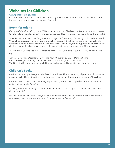## **Websites for Children**

#### **www.peacecorps.gov/kids**

Children's site sponsored by the Peace Corps. A good resource for information about cultures around the world and how to make a difference. Ages 7-13

## **Books for Adults**

Caring and Capable Kids by Linda Williams. An activity book filled with stories, songs and worksheets to help children develop empathy and compassion, and learn to exercise sound judgment. Grades K-8

The Affective Curriculum,Teaching the Anti-bias Approach to Young Children by Nadia Saderman and Valerie Rhomberg.Both a theoretical and practical approach that helps caregivers develop skills to foster anti-bias attitudes in children. It includes activities for infants, toddlers, preschool and school age children, international resources and a dictionary of useful terms translated into 20 languages.

Teaching Your Child to Resist Bias; brochure from NAEYC.(available at 800-424-2460 or www.naeyc. org).

Anti Bias Curriculum:Tools for Empowering Young Children by Louise Derman Sparks. Roots and Wings: Affirming Culture in Early Childhood Programs,Stacey York. Working with Children from Culturally Diverse Backgrounds, Diane Klien and Deborah Chen.

## **Children's Books**

Black,White, Just Right, Marguerite W. Davol, Irene Trivas (Illustrator). A playful picture book in which a mixed race child talks about the rich differences in her family — but they're all "just right." Preschool

Erik is Homeless, Keith Elliot Greenberg. A photo essay and story of hope about Erik's life in shelters and at welfare hotels. Ages 5-9

Fly Away Home, Eve Bunting. A picture book about the lives of a boy and his father who live at the airport. Ages 4-8

Let's Talk About Race, Lester Julius, Karen Barbour (Illustrator). The author introduces the concept of race as only one component of a person's or nation's story. Grades 1-5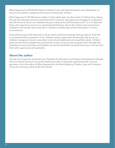What Happened to MY World? Helping Children Cope with Natural Disaster and Catastrophe is a resource for parents, caregivers,and anyone working with children.

What Happened to MY World was written to help adults peer into the minds of children from infancy through the teenage years,and understand their confusion, fears,grief,and struggles to understand why the forces of nature can suddenly disrupt or destroy the world as they know it. It is to help both those who experience and survive catastrophe firsthand,as well as the children who witness from a distance and wonder what it was like or whether someday they will find themselves in similar circumstances.

Extraordinary events like these test us all as citizens and human beings sharing a planet. They test us as parents,both as guardians of our children trying to keep them emotionally safe,and as our children's caregivers trying to raise them to become enlightened and empathetic adults. Children grow into the kind of people they will become at least in part by how we guide them through their questions,concerns,and fears,and whether we use the teachable moments thrust upon us to provide them with support,care,and guidance.

## **About the author**

The late Jim Greenman was Senior Vice President for Education and Program Development at Bright Horizons Family Solutions, the world's leading provider of employer-sponsored early care and education. He is the author of What Happened to the World:Helping Children Cope with Turbulent Times and numerous other books and articles.